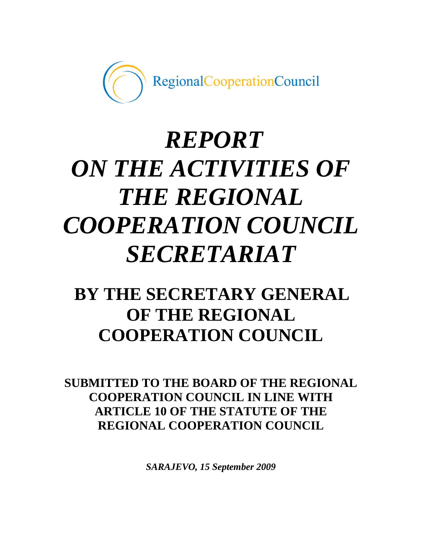

# *REPORT ON THE ACTIVITIES OF THE REGIONAL COOPERATION COUNCIL SECRETARIAT*

# **BY THE SECRETARY GENERAL OF THE REGIONAL COOPERATION COUNCIL**

**SUBMITTED TO THE BOARD OF THE REGIONAL COOPERATION COUNCIL IN LINE WITH ARTICLE 10 OF THE STATUTE OF THE REGIONAL COOPERATION COUNCIL**

*SARAJEVO, 15 September 2009*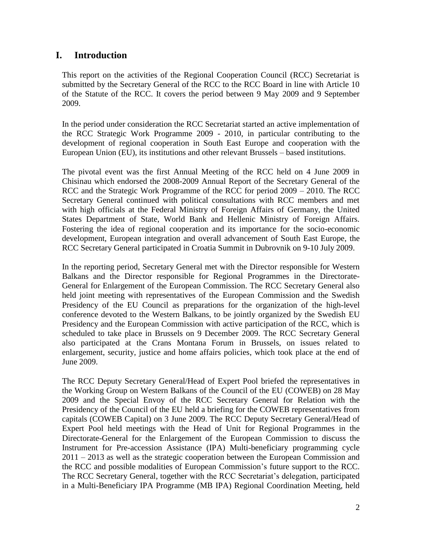# **I. Introduction**

This report on the activities of the Regional Cooperation Council (RCC) Secretariat is submitted by the Secretary General of the RCC to the RCC Board in line with Article 10 of the Statute of the RCC. It covers the period between 9 May 2009 and 9 September 2009.

In the period under consideration the RCC Secretariat started an active implementation of the RCC Strategic Work Programme 2009 - 2010, in particular contributing to the development of regional cooperation in South East Europe and cooperation with the European Union (EU), its institutions and other relevant Brussels – based institutions.

The pivotal event was the first Annual Meeting of the RCC held on 4 June 2009 in Chisinau which endorsed the 2008-2009 Annual Report of the Secretary General of the RCC and the Strategic Work Programme of the RCC for period 2009 – 2010. The RCC Secretary General continued with political consultations with RCC members and met with high officials at the Federal Ministry of Foreign Affairs of Germany, the United States Department of State, World Bank and Hellenic Ministry of Foreign Affairs. Fostering the idea of regional cooperation and its importance for the socio-economic development, European integration and overall advancement of South East Europe, the RCC Secretary General participated in Croatia Summit in Dubrovnik on 9-10 July 2009.

In the reporting period, Secretary General met with the Director responsible for Western Balkans and the Director responsible for Regional Programmes in the Directorate-General for Enlargement of the European Commission. The RCC Secretary General also held joint meeting with representatives of the European Commission and the Swedish Presidency of the EU Council as preparations for the organization of the high-level conference devoted to the Western Balkans, to be jointly organized by the Swedish EU Presidency and the European Commission with active participation of the RCC, which is scheduled to take place in Brussels on 9 December 2009. The RCC Secretary General also participated at the Crans Montana Forum in Brussels, on issues related to enlargement, security, justice and home affairs policies, which took place at the end of June 2009.

The RCC Deputy Secretary General/Head of Expert Pool briefed the representatives in the Working Group on Western Balkans of the Council of the EU (COWEB) on 28 May 2009 and the Special Envoy of the RCC Secretary General for Relation with the Presidency of the Council of the EU held a briefing for the COWEB representatives from capitals (COWEB Capital) on 3 June 2009. The RCC Deputy Secretary General/Head of Expert Pool held meetings with the Head of Unit for Regional Programmes in the Directorate-General for the Enlargement of the European Commission to discuss the Instrument for Pre-accession Assistance (IPA) Multi-beneficiary programming cycle 2011 – 2013 as well as the strategic cooperation between the European Commission and the RCC and possible modalities of European Commission"s future support to the RCC. The RCC Secretary General, together with the RCC Secretariat's delegation, participated in a Multi-Beneficiary IPA Programme (MB IPA) Regional Coordination Meeting, held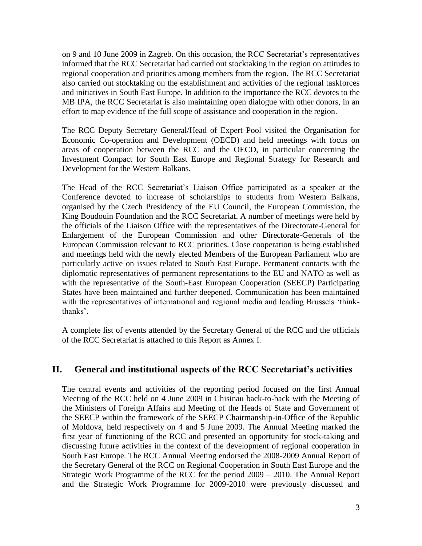on 9 and 10 June 2009 in Zagreb. On this occasion, the RCC Secretariat's representatives informed that the RCC Secretariat had carried out stocktaking in the region on attitudes to regional cooperation and priorities among members from the region. The RCC Secretariat also carried out stocktaking on the establishment and activities of the regional taskforces and initiatives in South East Europe. In addition to the importance the RCC devotes to the MB IPA, the RCC Secretariat is also maintaining open dialogue with other donors, in an effort to map evidence of the full scope of assistance and cooperation in the region.

The RCC Deputy Secretary General/Head of Expert Pool visited the Organisation for Economic Co-operation and Development (OECD) and held meetings with focus on areas of cooperation between the RCC and the OECD, in particular concerning the Investment Compact for South East Europe and Regional Strategy for Research and Development for the Western Balkans.

The Head of the RCC Secretariat"s Liaison Office participated as a speaker at the Conference devoted to increase of scholarships to students from Western Balkans, organised by the Czech Presidency of the EU Council, the European Commission, the King Boudouin Foundation and the RCC Secretariat. A number of meetings were held by the officials of the Liaison Office with the representatives of the Directorate-General for Enlargement of the European Commission and other Directorate-Generals of the European Commission relevant to RCC priorities. Close cooperation is being established and meetings held with the newly elected Members of the European Parliament who are particularly active on issues related to South East Europe. Permanent contacts with the diplomatic representatives of permanent representations to the EU and NATO as well as with the representative of the South-East European Cooperation (SEECP) Participating States have been maintained and further deepened. Communication has been maintained with the representatives of international and regional media and leading Brussels "thinkthanks".

A complete list of events attended by the Secretary General of the RCC and the officials of the RCC Secretariat is attached to this Report as Annex I.

# **II. General and institutional aspects of the RCC Secretariat's activities**

The central events and activities of the reporting period focused on the first Annual Meeting of the RCC held on 4 June 2009 in Chisinau back-to-back with the Meeting of the Ministers of Foreign Affairs and Meeting of the Heads of State and Government of the SEECP within the framework of the SEECP Chairmanship-in-Office of the Republic of Moldova, held respectively on 4 and 5 June 2009. The Annual Meeting marked the first year of functioning of the RCC and presented an opportunity for stock-taking and discussing future activities in the context of the development of regional cooperation in South East Europe. The RCC Annual Meeting endorsed the 2008-2009 Annual Report of the Secretary General of the RCC on Regional Cooperation in South East Europe and the Strategic Work Programme of the RCC for the period 2009 – 2010. The Annual Report and the Strategic Work Programme for 2009-2010 were previously discussed and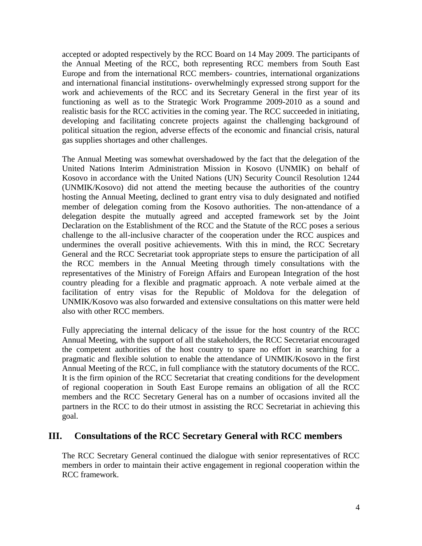accepted or adopted respectively by the RCC Board on 14 May 2009. The participants of the Annual Meeting of the RCC, both representing RCC members from South East Europe and from the international RCC members- countries, international organizations and international financial institutions- overwhelmingly expressed strong support for the work and achievements of the RCC and its Secretary General in the first year of its functioning as well as to the Strategic Work Programme 2009-2010 as a sound and realistic basis for the RCC activities in the coming year. The RCC succeeded in initiating, developing and facilitating concrete projects against the challenging background of political situation the region, adverse effects of the economic and financial crisis, natural gas supplies shortages and other challenges.

The Annual Meeting was somewhat overshadowed by the fact that the delegation of the United Nations Interim Administration Mission in Kosovo (UNMIK) on behalf of Kosovo in accordance with the United Nations (UN) Security Council Resolution 1244 (UNMIK/Kosovo) did not attend the meeting because the authorities of the country hosting the Annual Meeting, declined to grant entry visa to duly designated and notified member of delegation coming from the Kosovo authorities. The non-attendance of a delegation despite the mutually agreed and accepted framework set by the Joint Declaration on the Establishment of the RCC and the Statute of the RCC poses a serious challenge to the all-inclusive character of the cooperation under the RCC auspices and undermines the overall positive achievements. With this in mind, the RCC Secretary General and the RCC Secretariat took appropriate steps to ensure the participation of all the RCC members in the Annual Meeting through timely consultations with the representatives of the Ministry of Foreign Affairs and European Integration of the host country pleading for a flexible and pragmatic approach. A note verbale aimed at the facilitation of entry visas for the Republic of Moldova for the delegation of UNMIK/Kosovo was also forwarded and extensive consultations on this matter were held also with other RCC members.

Fully appreciating the internal delicacy of the issue for the host country of the RCC Annual Meeting, with the support of all the stakeholders, the RCC Secretariat encouraged the competent authorities of the host country to spare no effort in searching for a pragmatic and flexible solution to enable the attendance of UNMIK/Kosovo in the first Annual Meeting of the RCC, in full compliance with the statutory documents of the RCC. It is the firm opinion of the RCC Secretariat that creating conditions for the development of regional cooperation in South East Europe remains an obligation of all the RCC members and the RCC Secretary General has on a number of occasions invited all the partners in the RCC to do their utmost in assisting the RCC Secretariat in achieving this goal.

# **III. Consultations of the RCC Secretary General with RCC members**

The RCC Secretary General continued the dialogue with senior representatives of RCC members in order to maintain their active engagement in regional cooperation within the RCC framework.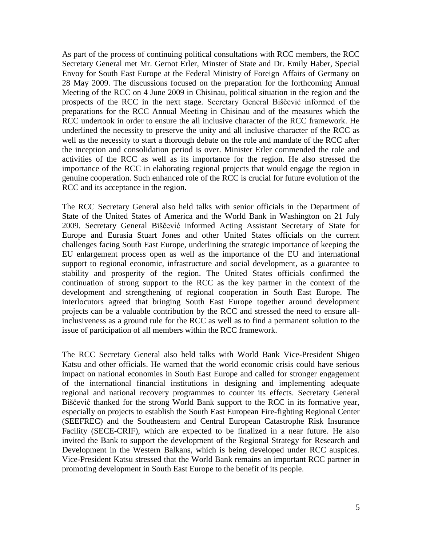As part of the process of continuing political consultations with RCC members, the RCC Secretary General met Mr. Gernot Erler, Minster of State and Dr. Emily Haber, Special Envoy for South East Europe at the Federal Ministry of Foreign Affairs of Germany on 28 May 2009. The discussions focused on the preparation for the forthcoming Annual Meeting of the RCC on 4 June 2009 in Chisinau, political situation in the region and the prospects of the RCC in the next stage. Secretary General Biščević informed of the preparations for the RCC Annual Meeting in Chisinau and of the measures which the RCC undertook in order to ensure the all inclusive character of the RCC framework. He underlined the necessity to preserve the unity and all inclusive character of the RCC as well as the necessity to start a thorough debate on the role and mandate of the RCC after the inception and consolidation period is over. Minister Erler commended the role and activities of the RCC as well as its importance for the region. He also stressed the importance of the RCC in elaborating regional projects that would engage the region in genuine cooperation. Such enhanced role of the RCC is crucial for future evolution of the RCC and its acceptance in the region.

The RCC Secretary General also held talks with senior officials in the Department of State of the United States of America and the World Bank in Washington on 21 July 2009. Secretary General Biščević informed Acting Assistant Secretary of State for Europe and Eurasia Stuart Jones and other United States officials on the current challenges facing South East Europe, underlining the strategic importance of keeping the EU enlargement process open as well as the importance of the EU and international support to regional economic, infrastructure and social development, as a guarantee to stability and prosperity of the region. The United States officials confirmed the continuation of strong support to the RCC as the key partner in the context of the development and strengthening of regional cooperation in South East Europe. The interlocutors agreed that bringing South East Europe together around development projects can be a valuable contribution by the RCC and stressed the need to ensure allinclusiveness as a ground rule for the RCC as well as to find a permanent solution to the issue of participation of all members within the RCC framework.

The RCC Secretary General also held talks with World Bank Vice-President Shigeo Katsu and other officials. He warned that the world economic crisis could have serious impact on national economies in South East Europe and called for stronger engagement of the international financial institutions in designing and implementing adequate regional and national recovery programmes to counter its effects. Secretary General Biščević thanked for the strong World Bank support to the RCC in its formative year, especially on projects to establish the South East European Fire-fighting Regional Center (SEEFREC) and the Southeastern and Central European Catastrophe Risk Insurance Facility (SECE-CRIF), which are expected to be finalized in a near future. He also invited the Bank to support the development of the Regional Strategy for Research and Development in the Western Balkans, which is being developed under RCC auspices. Vice-President Katsu stressed that the World Bank remains an important RCC partner in promoting development in South East Europe to the benefit of its people.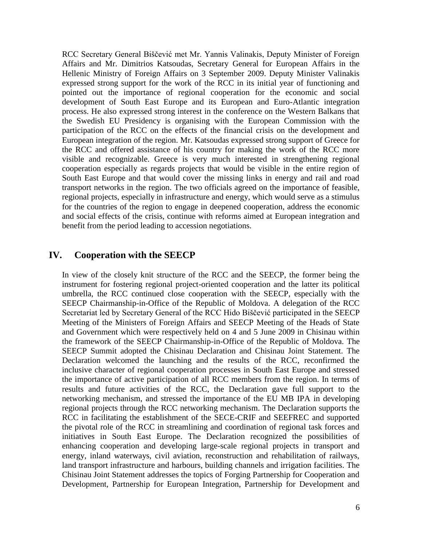RCC Secretary General Biščević met Mr. Yannis Valinakis, Deputy Minister of Foreign Affairs and Mr. Dimitrios Katsoudas, Secretary General for European Affairs in the Hellenic Ministry of Foreign Affairs on 3 September 2009. Deputy Minister Valinakis expressed strong support for the work of the RCC in its initial year of functioning and pointed out the importance of regional cooperation for the economic and social development of South East Europe and its European and Euro-Atlantic integration process. He also expressed strong interest in the conference on the Western Balkans that the Swedish EU Presidency is organising with the European Commission with the participation of the RCC on the effects of the financial crisis on the development and European integration of the region. Mr. Katsoudas expressed strong support of Greece for the RCC and offered assistance of his country for making the work of the RCC more visible and recognizable. Greece is very much interested in strengthening regional cooperation especially as regards projects that would be visible in the entire region of South East Europe and that would cover the missing links in energy and rail and road transport networks in the region. The two officials agreed on the importance of feasible, regional projects, especially in infrastructure and energy, which would serve as a stimulus for the countries of the region to engage in deepened cooperation, address the economic and social effects of the crisis, continue with reforms aimed at European integration and benefit from the period leading to accession negotiations.

### **IV. Cooperation with the SEECP**

In view of the closely knit structure of the RCC and the SEECP, the former being the instrument for fostering regional project-oriented cooperation and the latter its political umbrella, the RCC continued close cooperation with the SEECP, especially with the SEECP Chairmanship-in-Office of the Republic of Moldova. A delegation of the RCC Secretariat led by Secretary General of the RCC Hido Biščević participated in the SEECP Meeting of the Ministers of Foreign Affairs and SEECP Meeting of the Heads of State and Government which were respectively held on 4 and 5 June 2009 in Chisinau within the framework of the SEECP Chairmanship-in-Office of the Republic of Moldova. The SEECP Summit adopted the Chisinau Declaration and Chisinau Joint Statement. The Declaration welcomed the launching and the results of the RCC, reconfirmed the inclusive character of regional cooperation processes in South East Europe and stressed the importance of active participation of all RCC members from the region. In terms of results and future activities of the RCC, the Declaration gave full support to the networking mechanism, and stressed the importance of the EU MB IPA in developing regional projects through the RCC networking mechanism. The Declaration supports the RCC in facilitating the establishment of the SECE-CRIF and SEEFREC and supported the pivotal role of the RCC in streamlining and coordination of regional task forces and initiatives in South East Europe. The Declaration recognized the possibilities of enhancing cooperation and developing large-scale regional projects in transport and energy, inland waterways, civil aviation, reconstruction and rehabilitation of railways, land transport infrastructure and harbours, building channels and irrigation facilities. The Chisinau Joint Statement addresses the topics of Forging Partnership for Cooperation and Development, Partnership for European Integration, Partnership for Development and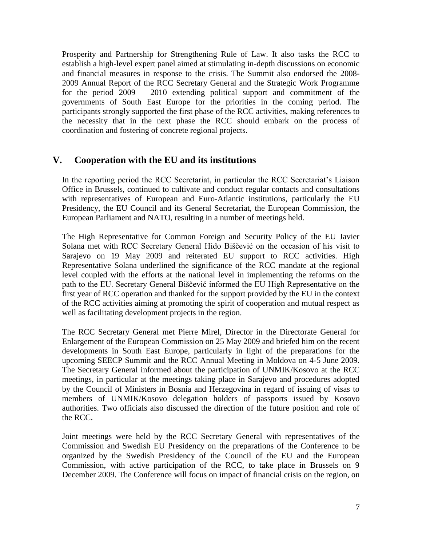Prosperity and Partnership for Strengthening Rule of Law. It also tasks the RCC to establish a high-level expert panel aimed at stimulating in-depth discussions on economic and financial measures in response to the crisis. The Summit also endorsed the 2008- 2009 Annual Report of the RCC Secretary General and the Strategic Work Programme for the period 2009 – 2010 extending political support and commitment of the governments of South East Europe for the priorities in the coming period. The participants strongly supported the first phase of the RCC activities, making references to the necessity that in the next phase the RCC should embark on the process of coordination and fostering of concrete regional projects.

# **V. Cooperation with the EU and its institutions**

In the reporting period the RCC Secretariat, in particular the RCC Secretariat"s Liaison Office in Brussels, continued to cultivate and conduct regular contacts and consultations with representatives of European and Euro-Atlantic institutions, particularly the EU Presidency, the EU Council and its General Secretariat, the European Commission, the European Parliament and NATO, resulting in a number of meetings held.

The High Representative for Common Foreign and Security Policy of the EU Javier Solana met with RCC Secretary General Hido Biščević on the occasion of his visit to Sarajevo on 19 May 2009 and reiterated EU support to RCC activities. High Representative Solana underlined the significance of the RCC mandate at the regional level coupled with the efforts at the national level in implementing the reforms on the path to the EU. Secretary General Biščević informed the EU High Representative on the first year of RCC operation and thanked for the support provided by the EU in the context of the RCC activities aiming at promoting the spirit of cooperation and mutual respect as well as facilitating development projects in the region.

The RCC Secretary General met Pierre Mirel, Director in the Directorate General for Enlargement of the European Commission on 25 May 2009 and briefed him on the recent developments in South East Europe, particularly in light of the preparations for the upcoming SEECP Summit and the RCC Annual Meeting in Moldova on 4-5 June 2009. The Secretary General informed about the participation of UNMIK/Kosovo at the RCC meetings, in particular at the meetings taking place in Sarajevo and procedures adopted by the Council of Ministers in Bosnia and Herzegovina in regard of issuing of visas to members of UNMIK/Kosovo delegation holders of passports issued by Kosovo authorities. Two officials also discussed the direction of the future position and role of the RCC.

Joint meetings were held by the RCC Secretary General with representatives of the Commission and Swedish EU Presidency on the preparations of the Conference to be organized by the Swedish Presidency of the Council of the EU and the European Commission, with active participation of the RCC, to take place in Brussels on 9 December 2009. The Conference will focus on impact of financial crisis on the region, on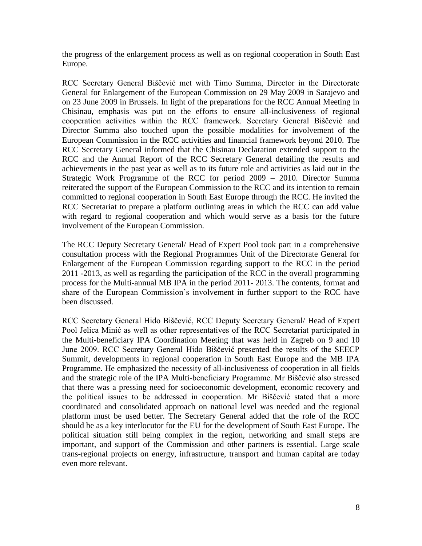the progress of the enlargement process as well as on regional cooperation in South East Europe.

RCC Secretary General Biščević met with Timo Summa, Director in the Directorate General for Enlargement of the European Commission on 29 May 2009 in Sarajevo and on 23 June 2009 in Brussels. In light of the preparations for the RCC Annual Meeting in Chisinau, emphasis was put on the efforts to ensure all-inclusiveness of regional cooperation activities within the RCC framework. Secretary General Biščević and Director Summa also touched upon the possible modalities for involvement of the European Commission in the RCC activities and financial framework beyond 2010. The RCC Secretary General informed that the Chisinau Declaration extended support to the RCC and the Annual Report of the RCC Secretary General detailing the results and achievements in the past year as well as to its future role and activities as laid out in the Strategic Work Programme of the RCC for period 2009 – 2010. Director Summa reiterated the support of the European Commission to the RCC and its intention to remain committed to regional cooperation in South East Europe through the RCC. He invited the RCC Secretariat to prepare a platform outlining areas in which the RCC can add value with regard to regional cooperation and which would serve as a basis for the future involvement of the European Commission.

The RCC Deputy Secretary General/ Head of Expert Pool took part in a comprehensive consultation process with the Regional Programmes Unit of the Directorate General for Enlargement of the European Commission regarding support to the RCC in the period 2011 -2013, as well as regarding the participation of the RCC in the overall programming process for the Multi-annual MB IPA in the period 2011- 2013. The contents, format and share of the European Commission's involvement in further support to the RCC have been discussed.

RCC Secretary General Hido Biščević, RCC Deputy Secretary General/ Head of Expert Pool Jelica Minić as well as other representatives of the RCC Secretariat participated in the Multi-beneficiary IPA Coordination Meeting that was held in Zagreb on 9 and 10 June 2009. RCC Secretary General Hido Biščević presented the results of the SEECP Summit, developments in regional cooperation in South East Europe and the MB IPA Programme. He emphasized the necessity of all-inclusiveness of cooperation in all fields and the strategic role of the IPA Multi-beneficiary Programme. Mr Biščević also stressed that there was a pressing need for socioeconomic development, economic recovery and the political issues to be addressed in cooperation. Mr Biščević stated that a more coordinated and consolidated approach on national level was needed and the regional platform must be used better. The Secretary General added that the role of the RCC should be as a key interlocutor for the EU for the development of South East Europe. The political situation still being complex in the region, networking and small steps are important, and support of the Commission and other partners is essential. Large scale trans-regional projects on energy, infrastructure, transport and human capital are today even more relevant.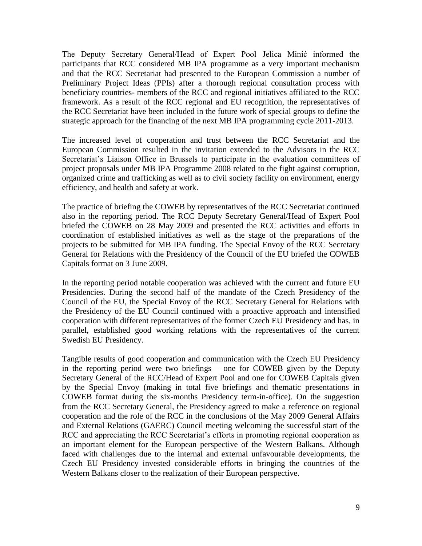The Deputy Secretary General/Head of Expert Pool Jelica Minić informed the participants that RCC considered MB IPA programme as a very important mechanism and that the RCC Secretariat had presented to the European Commission a number of Preliminary Project Ideas (PPIs) after a thorough regional consultation process with beneficiary countries- members of the RCC and regional initiatives affiliated to the RCC framework. As a result of the RCC regional and EU recognition, the representatives of the RCC Secretariat have been included in the future work of special groups to define the strategic approach for the financing of the next MB IPA programming cycle 2011-2013.

The increased level of cooperation and trust between the RCC Secretariat and the European Commission resulted in the invitation extended to the Advisors in the RCC Secretariat's Liaison Office in Brussels to participate in the evaluation committees of project proposals under MB IPA Programme 2008 related to the fight against corruption, organized crime and trafficking as well as to civil society facility on environment, energy efficiency, and health and safety at work.

The practice of briefing the COWEB by representatives of the RCC Secretariat continued also in the reporting period. The RCC Deputy Secretary General/Head of Expert Pool briefed the COWEB on 28 May 2009 and presented the RCC activities and efforts in coordination of established initiatives as well as the stage of the preparations of the projects to be submitted for MB IPA funding. The Special Envoy of the RCC Secretary General for Relations with the Presidency of the Council of the EU briefed the COWEB Capitals format on 3 June 2009.

In the reporting period notable cooperation was achieved with the current and future EU Presidencies. During the second half of the mandate of the Czech Presidency of the Council of the EU, the Special Envoy of the RCC Secretary General for Relations with the Presidency of the EU Council continued with a proactive approach and intensified cooperation with different representatives of the former Czech EU Presidency and has, in parallel, established good working relations with the representatives of the current Swedish EU Presidency.

Tangible results of good cooperation and communication with the Czech EU Presidency in the reporting period were two briefings – one for COWEB given by the Deputy Secretary General of the RCC/Head of Expert Pool and one for COWEB Capitals given by the Special Envoy (making in total five briefings and thematic presentations in COWEB format during the six-months Presidency term-in-office). On the suggestion from the RCC Secretary General, the Presidency agreed to make a reference on regional cooperation and the role of the RCC in the conclusions of the May 2009 General Affairs and External Relations (GAERC) Council meeting welcoming the successful start of the RCC and appreciating the RCC Secretariat's efforts in promoting regional cooperation as an important element for the European perspective of the Western Balkans. Although faced with challenges due to the internal and external unfavourable developments, the Czech EU Presidency invested considerable efforts in bringing the countries of the Western Balkans closer to the realization of their European perspective.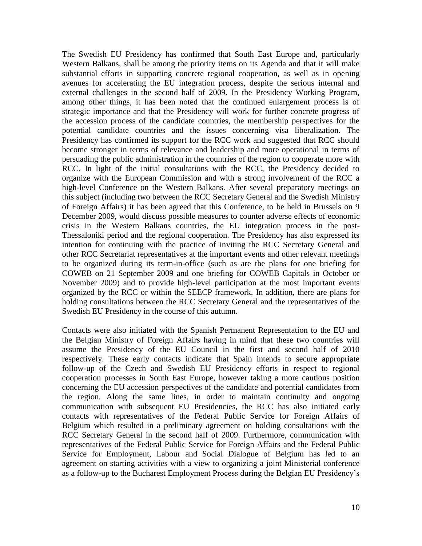The Swedish EU Presidency has confirmed that South East Europe and, particularly Western Balkans, shall be among the priority items on its Agenda and that it will make substantial efforts in supporting concrete regional cooperation, as well as in opening avenues for accelerating the EU integration process, despite the serious internal and external challenges in the second half of 2009. In the Presidency Working Program, among other things, it has been noted that the continued enlargement process is of strategic importance and that the Presidency will work for further concrete progress of the accession process of the candidate countries, the membership perspectives for the potential candidate countries and the issues concerning visa liberalization. The Presidency has confirmed its support for the RCC work and suggested that RCC should become stronger in terms of relevance and leadership and more operational in terms of persuading the public administration in the countries of the region to cooperate more with RCC. In light of the initial consultations with the RCC, the Presidency decided to organize with the European Commission and with a strong involvement of the RCC a high-level Conference on the Western Balkans. After several preparatory meetings on this subject (including two between the RCC Secretary General and the Swedish Ministry of Foreign Affairs) it has been agreed that this Conference, to be held in Brussels on 9 December 2009, would discuss possible measures to counter adverse effects of economic crisis in the Western Balkans countries, the EU integration process in the post-Thessaloniki period and the regional cooperation. The Presidency has also expressed its intention for continuing with the practice of inviting the RCC Secretary General and other RCC Secretariat representatives at the important events and other relevant meetings to be organized during its term-in-office (such as are the plans for one briefing for COWEB on 21 September 2009 and one briefing for COWEB Capitals in October or November 2009) and to provide high-level participation at the most important events organized by the RCC or within the SEECP framework. In addition, there are plans for holding consultations between the RCC Secretary General and the representatives of the Swedish EU Presidency in the course of this autumn.

Contacts were also initiated with the Spanish Permanent Representation to the EU and the Belgian Ministry of Foreign Affairs having in mind that these two countries will assume the Presidency of the EU Council in the first and second half of 2010 respectively. These early contacts indicate that Spain intends to secure appropriate follow-up of the Czech and Swedish EU Presidency efforts in respect to regional cooperation processes in South East Europe, however taking a more cautious position concerning the EU accession perspectives of the candidate and potential candidates from the region. Along the same lines, in order to maintain continuity and ongoing communication with subsequent EU Presidencies, the RCC has also initiated early contacts with representatives of the Federal Public Service for Foreign Affairs of Belgium which resulted in a preliminary agreement on holding consultations with the RCC Secretary General in the second half of 2009. Furthermore, communication with representatives of the Federal Public Service for Foreign Affairs and the Federal Public Service for Employment, Labour and Social Dialogue of Belgium has led to an agreement on starting activities with a view to organizing a joint Ministerial conference as a follow-up to the Bucharest Employment Process during the Belgian EU Presidency"s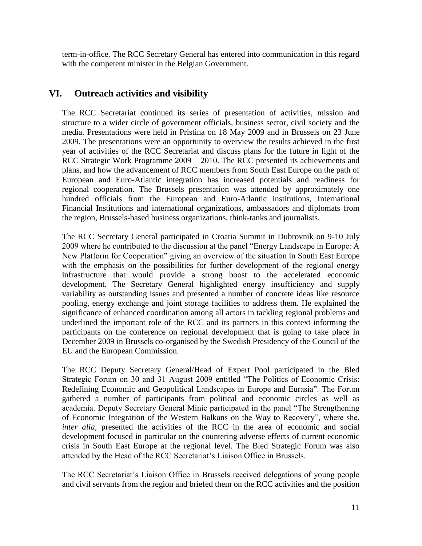term-in-office. The RCC Secretary General has entered into communication in this regard with the competent minister in the Belgian Government.

# **VI. Outreach activities and visibility**

The RCC Secretariat continued its series of presentation of activities, mission and structure to a wider circle of government officials, business sector, civil society and the media. Presentations were held in Pristina on 18 May 2009 and in Brussels on 23 June 2009. The presentations were an opportunity to overview the results achieved in the first year of activities of the RCC Secretariat and discuss plans for the future in light of the RCC Strategic Work Programme 2009 – 2010. The RCC presented its achievements and plans, and how the advancement of RCC members from South East Europe on the path of European and Euro-Atlantic integration has increased potentials and readiness for regional cooperation. The Brussels presentation was attended by approximately one hundred officials from the European and Euro-Atlantic institutions, International Financial Institutions and international organizations, ambassadors and diplomats from the region, Brussels-based business organizations, think-tanks and journalists.

The RCC Secretary General participated in Croatia Summit in Dubrovnik on 9-10 July 2009 where he contributed to the discussion at the panel "Energy Landscape in Europe: A New Platform for Cooperation" giving an overview of the situation in South East Europe with the emphasis on the possibilities for further development of the regional energy infrastructure that would provide a strong boost to the accelerated economic development. The Secretary General highlighted energy insufficiency and supply variability as outstanding issues and presented a number of concrete ideas like resource pooling, energy exchange and joint storage facilities to address them. He explained the significance of enhanced coordination among all actors in tackling regional problems and underlined the important role of the RCC and its partners in this context informing the participants on the conference on regional development that is going to take place in December 2009 in Brussels co-organised by the Swedish Presidency of the Council of the EU and the European Commission.

The RCC Deputy Secretary General/Head of Expert Pool participated in the Bled Strategic Forum on 30 and 31 August 2009 entitled "The Politics of Economic Crisis: Redefining Economic and Geopolitical Landscapes in Europe and Eurasia". The Forum gathered a number of participants from political and economic circles as well as academia. Deputy Secretary General Minic participated in the panel "The Strengthening of Economic Integration of the Western Balkans on the Way to Recovery", where she, *inter alia,* presented the activities of the RCC in the area of economic and social development focused in particular on the countering adverse effects of current economic crisis in South East Europe at the regional level. The Bled Strategic Forum was also attended by the Head of the RCC Secretariat"s Liaison Office in Brussels.

The RCC Secretariat"s Liaison Office in Brussels received delegations of young people and civil servants from the region and briefed them on the RCC activities and the position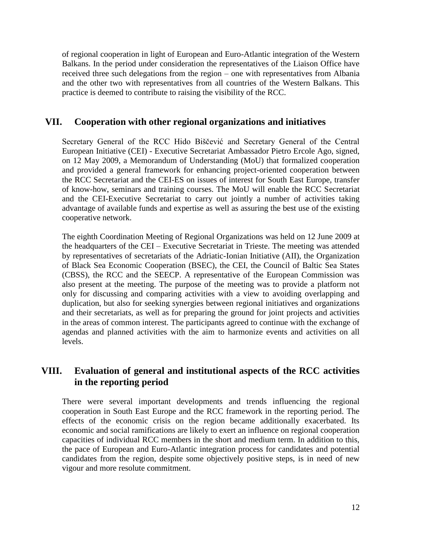of regional cooperation in light of European and Euro-Atlantic integration of the Western Balkans. In the period under consideration the representatives of the Liaison Office have received three such delegations from the region – one with representatives from Albania and the other two with representatives from all countries of the Western Balkans. This practice is deemed to contribute to raising the visibility of the RCC.

#### **VII. Cooperation with other regional organizations and initiatives**

Secretary General of the RCC Hido Biščević and Secretary General of the Central European Initiative (CEI) - Executive Secretariat Ambassador Pietro Ercole Ago, signed, on 12 May 2009, a Memorandum of Understanding (MoU) that formalized cooperation and provided a general framework for enhancing project-oriented cooperation between the RCC Secretariat and the CEI-ES on issues of interest for South East Europe, transfer of know-how, seminars and training courses. The MoU will enable the RCC Secretariat and the CEI-Executive Secretariat to carry out jointly a number of activities taking advantage of available funds and expertise as well as assuring the best use of the existing cooperative network.

The eighth Coordination Meeting of Regional Organizations was held on 12 June 2009 at the headquarters of the CEI – Executive Secretariat in Trieste. The meeting was attended by representatives of secretariats of the Adriatic-Ionian Initiative (AII), the Organization of Black Sea Economic Cooperation (BSEC), the CEI, the Council of Baltic Sea States (CBSS), the RCC and the SEECP. A representative of the European Commission was also present at the meeting. The purpose of the meeting was to provide a platform not only for discussing and comparing activities with a view to avoiding overlapping and duplication, but also for seeking synergies between regional initiatives and organizations and their secretariats, as well as for preparing the ground for joint projects and activities in the areas of common interest. The participants agreed to continue with the exchange of agendas and planned activities with the aim to harmonize events and activities on all levels.

# **VIII. Evaluation of general and institutional aspects of the RCC activities in the reporting period**

There were several important developments and trends influencing the regional cooperation in South East Europe and the RCC framework in the reporting period. The effects of the economic crisis on the region became additionally exacerbated. Its economic and social ramifications are likely to exert an influence on regional cooperation capacities of individual RCC members in the short and medium term. In addition to this, the pace of European and Euro-Atlantic integration process for candidates and potential candidates from the region, despite some objectively positive steps, is in need of new vigour and more resolute commitment.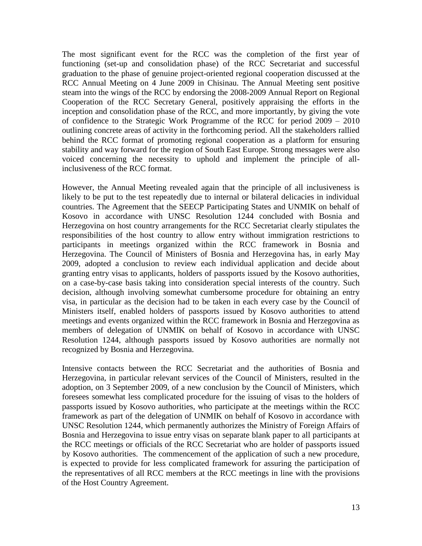The most significant event for the RCC was the completion of the first year of functioning (set-up and consolidation phase) of the RCC Secretariat and successful graduation to the phase of genuine project-oriented regional cooperation discussed at the RCC Annual Meeting on 4 June 2009 in Chisinau. The Annual Meeting sent positive steam into the wings of the RCC by endorsing the 2008-2009 Annual Report on Regional Cooperation of the RCC Secretary General, positively appraising the efforts in the inception and consolidation phase of the RCC, and more importantly, by giving the vote of confidence to the Strategic Work Programme of the RCC for period 2009 – 2010 outlining concrete areas of activity in the forthcoming period. All the stakeholders rallied behind the RCC format of promoting regional cooperation as a platform for ensuring stability and way forward for the region of South East Europe. Strong messages were also voiced concerning the necessity to uphold and implement the principle of allinclusiveness of the RCC format.

However, the Annual Meeting revealed again that the principle of all inclusiveness is likely to be put to the test repeatedly due to internal or bilateral delicacies in individual countries. The Agreement that the SEECP Participating States and UNMIK on behalf of Kosovo in accordance with UNSC Resolution 1244 concluded with Bosnia and Herzegovina on host country arrangements for the RCC Secretariat clearly stipulates the responsibilities of the host country to allow entry without immigration restrictions to participants in meetings organized within the RCC framework in Bosnia and Herzegovina. The Council of Ministers of Bosnia and Herzegovina has, in early May 2009, adopted a conclusion to review each individual application and decide about granting entry visas to applicants, holders of passports issued by the Kosovo authorities, on a case-by-case basis taking into consideration special interests of the country. Such decision, although involving somewhat cumbersome procedure for obtaining an entry visa, in particular as the decision had to be taken in each every case by the Council of Ministers itself, enabled holders of passports issued by Kosovo authorities to attend meetings and events organized within the RCC framework in Bosnia and Herzegovina as members of delegation of UNMIK on behalf of Kosovo in accordance with UNSC Resolution 1244, although passports issued by Kosovo authorities are normally not recognized by Bosnia and Herzegovina.

Intensive contacts between the RCC Secretariat and the authorities of Bosnia and Herzegovina, in particular relevant services of the Council of Ministers, resulted in the adoption, on 3 September 2009, of a new conclusion by the Council of Ministers, which foresees somewhat less complicated procedure for the issuing of visas to the holders of passports issued by Kosovo authorities, who participate at the meetings within the RCC framework as part of the delegation of UNMIK on behalf of Kosovo in accordance with UNSC Resolution 1244, which permanently authorizes the Ministry of Foreign Affairs of Bosnia and Herzegovina to issue entry visas on separate blank paper to all participants at the RCC meetings or officials of the RCC Secretariat who are holder of passports issued by Kosovo authorities. The commencement of the application of such a new procedure, is expected to provide for less complicated framework for assuring the participation of the representatives of all RCC members at the RCC meetings in line with the provisions of the Host Country Agreement.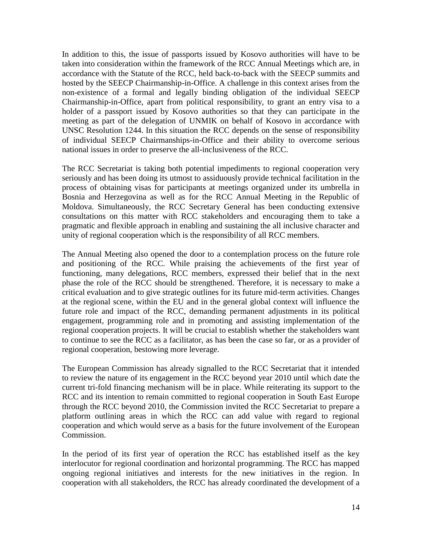In addition to this, the issue of passports issued by Kosovo authorities will have to be taken into consideration within the framework of the RCC Annual Meetings which are, in accordance with the Statute of the RCC, held back-to-back with the SEECP summits and hosted by the SEECP Chairmanship-in-Office. A challenge in this context arises from the non-existence of a formal and legally binding obligation of the individual SEECP Chairmanship-in-Office, apart from political responsibility, to grant an entry visa to a holder of a passport issued by Kosovo authorities so that they can participate in the meeting as part of the delegation of UNMIK on behalf of Kosovo in accordance with UNSC Resolution 1244. In this situation the RCC depends on the sense of responsibility of individual SEECP Chairmanships-in-Office and their ability to overcome serious national issues in order to preserve the all-inclusiveness of the RCC.

The RCC Secretariat is taking both potential impediments to regional cooperation very seriously and has been doing its utmost to assiduously provide technical facilitation in the process of obtaining visas for participants at meetings organized under its umbrella in Bosnia and Herzegovina as well as for the RCC Annual Meeting in the Republic of Moldova. Simultaneously, the RCC Secretary General has been conducting extensive consultations on this matter with RCC stakeholders and encouraging them to take a pragmatic and flexible approach in enabling and sustaining the all inclusive character and unity of regional cooperation which is the responsibility of all RCC members.

The Annual Meeting also opened the door to a contemplation process on the future role and positioning of the RCC. While praising the achievements of the first year of functioning, many delegations, RCC members, expressed their belief that in the next phase the role of the RCC should be strengthened. Therefore, it is necessary to make a critical evaluation and to give strategic outlines for its future mid-term activities. Changes at the regional scene, within the EU and in the general global context will influence the future role and impact of the RCC, demanding permanent adjustments in its political engagement, programming role and in promoting and assisting implementation of the regional cooperation projects. It will be crucial to establish whether the stakeholders want to continue to see the RCC as a facilitator, as has been the case so far, or as a provider of regional cooperation, bestowing more leverage.

The European Commission has already signalled to the RCC Secretariat that it intended to review the nature of its engagement in the RCC beyond year 2010 until which date the current tri-fold financing mechanism will be in place. While reiterating its support to the RCC and its intention to remain committed to regional cooperation in South East Europe through the RCC beyond 2010, the Commission invited the RCC Secretariat to prepare a platform outlining areas in which the RCC can add value with regard to regional cooperation and which would serve as a basis for the future involvement of the European Commission.

In the period of its first year of operation the RCC has established itself as the key interlocutor for regional coordination and horizontal programming. The RCC has mapped ongoing regional initiatives and interests for the new initiatives in the region. In cooperation with all stakeholders, the RCC has already coordinated the development of a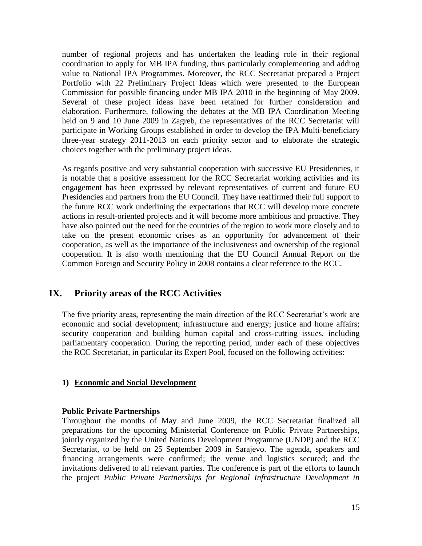number of regional projects and has undertaken the leading role in their regional coordination to apply for MB IPA funding, thus particularly complementing and adding value to National IPA Programmes. Moreover, the RCC Secretariat prepared a Project Portfolio with 22 Preliminary Project Ideas which were presented to the European Commission for possible financing under MB IPA 2010 in the beginning of May 2009. Several of these project ideas have been retained for further consideration and elaboration. Furthermore, following the debates at the MB IPA Coordination Meeting held on 9 and 10 June 2009 in Zagreb, the representatives of the RCC Secretariat will participate in Working Groups established in order to develop the IPA Multi-beneficiary three-year strategy 2011-2013 on each priority sector and to elaborate the strategic choices together with the preliminary project ideas.

As regards positive and very substantial cooperation with successive EU Presidencies, it is notable that a positive assessment for the RCC Secretariat working activities and its engagement has been expressed by relevant representatives of current and future EU Presidencies and partners from the EU Council. They have reaffirmed their full support to the future RCC work underlining the expectations that RCC will develop more concrete actions in result-oriented projects and it will become more ambitious and proactive. They have also pointed out the need for the countries of the region to work more closely and to take on the present economic crises as an opportunity for advancement of their cooperation, as well as the importance of the inclusiveness and ownership of the regional cooperation. It is also worth mentioning that the EU Council Annual Report on the Common Foreign and Security Policy in 2008 contains a clear reference to the RCC.

# **IX. Priority areas of the RCC Activities**

The five priority areas, representing the main direction of the RCC Secretariat"s work are economic and social development; infrastructure and energy; justice and home affairs; security cooperation and building human capital and cross-cutting issues, including parliamentary cooperation. During the reporting period, under each of these objectives the RCC Secretariat, in particular its Expert Pool, focused on the following activities:

#### **1) Economic and Social Development**

#### **Public Private Partnerships**

Throughout the months of May and June 2009, the RCC Secretariat finalized all preparations for the upcoming Ministerial Conference on Public Private Partnerships, jointly organized by the United Nations Development Programme (UNDP) and the RCC Secretariat, to be held on 25 September 2009 in Sarajevo. The agenda, speakers and financing arrangements were confirmed; the venue and logistics secured; and the invitations delivered to all relevant parties. The conference is part of the efforts to launch the project *Public Private Partnerships for Regional Infrastructure Development in*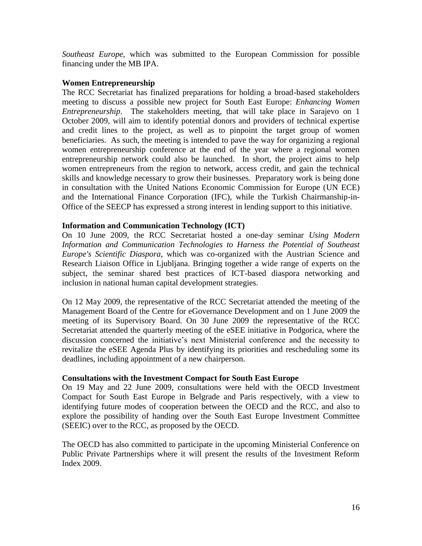*Southeast Europe,* which was submitted to the European Commission for possible financing under the MB IPA.

#### **Women Entrepreneurship**

The RCC Secretariat has finalized preparations for holding a broad-based stakeholders meeting to discuss a possible new project for South East Europe: *Enhancing Women Entrepreneurship*. The stakeholders meeting, that will take place in Sarajevo on 1 October 2009, will aim to identify potential donors and providers of technical expertise and credit lines to the project, as well as to pinpoint the target group of women beneficiaries. As such, the meeting is intended to pave the way for organizing a regional women entrepreneurship conference at the end of the year where a regional women entrepreneurship network could also be launched. In short, the project aims to help women entrepreneurs from the region to network, access credit, and gain the technical skills and knowledge necessary to grow their businesses. Preparatory work is being done in consultation with the United Nations Economic Commission for Europe (UN ECE) and the International Finance Corporation (IFC), while the Turkish Chairmanship-in-Office of the SEECP has expressed a strong interest in lending support to this initiative.

#### **Information and Communication Technology (ICT)**

On 10 June 2009, the RCC Secretariat hosted a one-day seminar *Using Modern Information and Communication Technologies to Harness the Potential of Southeast Europe's Scientific Diaspora*, which was co-organized with the Austrian Science and Research Liaison Office in Ljubljana. Bringing together a wide range of experts on the subject, the seminar shared best practices of ICT-based diaspora networking and inclusion in national human capital development strategies.

On 12 May 2009, the representative of the RCC Secretariat attended the meeting of the Management Board of the Centre for eGovernance Development and on 1 June 2009 the meeting of its Supervisory Board. On 30 June 2009 the representative of the RCC Secretariat attended the quarterly meeting of the eSEE initiative in Podgorica, where the discussion concerned the initiative's next Ministerial conference and the necessity to revitalize the eSEE Agenda Plus by identifying its priorities and rescheduling some its deadlines, including appointment of a new chairperson.

#### **Consultations with the Investment Compact for South East Europe**

On 19 May and 22 June 2009, consultations were held with the OECD Investment Compact for South East Europe in Belgrade and Paris respectively, with a view to identifying future modes of cooperation between the OECD and the RCC, and also to explore the possibility of handing over the South East Europe Investment Committee (SEEIC) over to the RCC, as proposed by the OECD.

The OECD has also committed to participate in the upcoming Ministerial Conference on Public Private Partnerships where it will present the results of the Investment Reform Index 2009.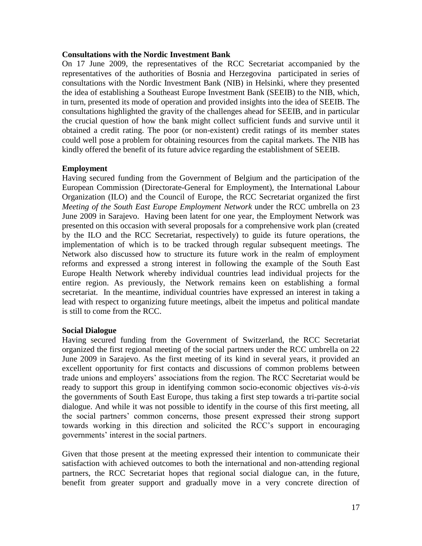#### **Consultations with the Nordic Investment Bank**

On 17 June 2009, the representatives of the RCC Secretariat accompanied by the representatives of the authorities of Bosnia and Herzegovina participated in series of consultations with the Nordic Investment Bank (NIB) in Helsinki, where they presented the idea of establishing a Southeast Europe Investment Bank (SEEIB) to the NIB, which, in turn, presented its mode of operation and provided insights into the idea of SEEIB. The consultations highlighted the gravity of the challenges ahead for SEEIB, and in particular the crucial question of how the bank might collect sufficient funds and survive until it obtained a credit rating. The poor (or non-existent) credit ratings of its member states could well pose a problem for obtaining resources from the capital markets. The NIB has kindly offered the benefit of its future advice regarding the establishment of SEEIB.

#### **Employment**

Having secured funding from the Government of Belgium and the participation of the European Commission (Directorate-General for Employment), the International Labour Organization (ILO) and the Council of Europe, the RCC Secretariat organized the first *Meeting of the South East Europe Employment Network* under the RCC umbrella on 23 June 2009 in Sarajevo. Having been latent for one year, the Employment Network was presented on this occasion with several proposals for a comprehensive work plan (created by the ILO and the RCC Secretariat, respectively) to guide its future operations, the implementation of which is to be tracked through regular subsequent meetings. The Network also discussed how to structure its future work in the realm of employment reforms and expressed a strong interest in following the example of the South East Europe Health Network whereby individual countries lead individual projects for the entire region. As previously, the Network remains keen on establishing a formal secretariat. In the meantime, individual countries have expressed an interest in taking a lead with respect to organizing future meetings, albeit the impetus and political mandate is still to come from the RCC.

#### **Social Dialogue**

Having secured funding from the Government of Switzerland, the RCC Secretariat organized the first regional meeting of the social partners under the RCC umbrella on 22 June 2009 in Sarajevo. As the first meeting of its kind in several years, it provided an excellent opportunity for first contacts and discussions of common problems between trade unions and employers" associations from the region. The RCC Secretariat would be ready to support this group in identifying common socio-economic objectives *vis-à-vis* the governments of South East Europe, thus taking a first step towards a tri-partite social dialogue. And while it was not possible to identify in the course of this first meeting, all the social partners" common concerns, those present expressed their strong support towards working in this direction and solicited the RCC"s support in encouraging governments" interest in the social partners.

Given that those present at the meeting expressed their intention to communicate their satisfaction with achieved outcomes to both the international and non-attending regional partners, the RCC Secretariat hopes that regional social dialogue can, in the future, benefit from greater support and gradually move in a very concrete direction of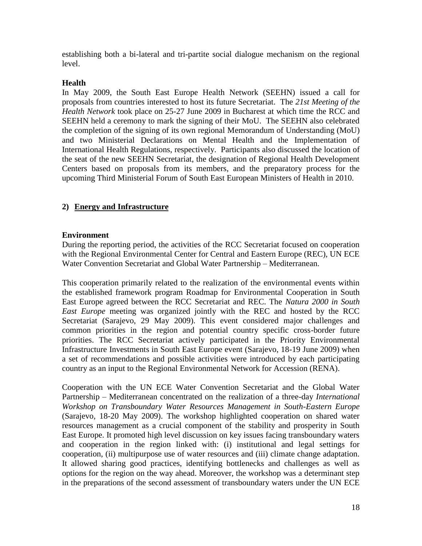establishing both a bi-lateral and tri-partite social dialogue mechanism on the regional level.

#### **Health**

In May 2009, the South East Europe Health Network (SEEHN) issued a call for proposals from countries interested to host its future Secretariat. The *21st Meeting of the Health Network* took place on 25-27 June 2009 in Bucharest at which time the RCC and SEEHN held a ceremony to mark the signing of their MoU. The SEEHN also celebrated the completion of the signing of its own regional Memorandum of Understanding (MoU) and two Ministerial Declarations on Mental Health and the Implementation of International Health Regulations, respectively. Participants also discussed the location of the seat of the new SEEHN Secretariat, the designation of Regional Health Development Centers based on proposals from its members, and the preparatory process for the upcoming Third Ministerial Forum of South East European Ministers of Health in 2010.

#### **2) Energy and Infrastructure**

#### **Environment**

During the reporting period, the activities of the RCC Secretariat focused on cooperation with the Regional Environmental Center for Central and Eastern Europe (REC), UN ECE Water Convention Secretariat and Global Water Partnership – Mediterranean.

This cooperation primarily related to the realization of the environmental events within the established framework program Roadmap for Environmental Cooperation in South East Europe agreed between the RCC Secretariat and REC. The *Natura 2000 in South East Europe* meeting was organized jointly with the REC and hosted by the RCC Secretariat (Sarajevo, 29 May 2009). This event considered major challenges and common priorities in the region and potential country specific cross-border future priorities. The RCC Secretariat actively participated in the Priority Environmental Infrastructure Investments in South East Europe event (Sarajevo, 18-19 June 2009) when a set of recommendations and possible activities were introduced by each participating country as an input to the Regional Environmental Network for Accession (RENA).

Cooperation with the UN ECE Water Convention Secretariat and the Global Water Partnership – Mediterranean concentrated on the realization of a three-day *International Workshop on Transboundary Water Resources Management in South-Eastern Europe*  (Sarajevo, 18-20 May 2009). The workshop highlighted cooperation on shared water resources management as a crucial component of the stability and prosperity in South East Europe. It promoted high level discussion on key issues facing transboundary waters and cooperation in the region linked with: (i) institutional and legal settings for cooperation, (ii) multipurpose use of water resources and (iii) climate change adaptation. It allowed sharing good practices, identifying bottlenecks and challenges as well as options for the region on the way ahead. Moreover, the workshop was a determinant step in the preparations of the second assessment of transboundary waters under the UN ECE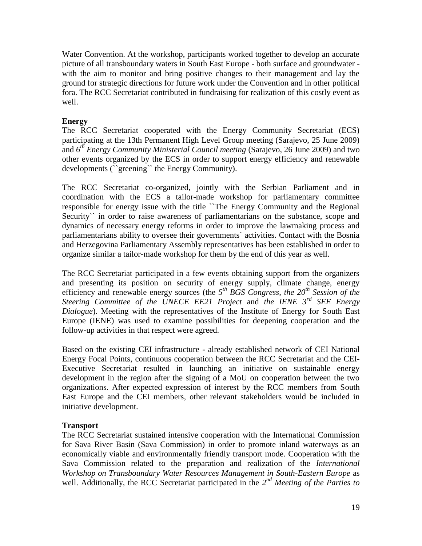Water Convention. At the workshop, participants worked together to develop an accurate picture of all transboundary waters in South East Europe - both surface and groundwater with the aim to monitor and bring positive changes to their management and lay the ground for strategic directions for future work under the Convention and in other political fora. The RCC Secretariat contributed in fundraising for realization of this costly event as well.

#### **Energy**

The RCC Secretariat cooperated with the Energy Community Secretariat (ECS) participating at the 13th Permanent High Level Group meeting (Sarajevo, 25 June 2009) and *6 th Energy Community Ministerial Council meeting* (Sarajevo, 26 June 2009) and two other events organized by the ECS in order to support energy efficiency and renewable developments (``greening`` the Energy Community).

The RCC Secretariat co-organized, jointly with the Serbian Parliament and in coordination with the ECS a tailor-made workshop for parliamentary committee responsible for energy issue with the title ``The Energy Community and the Regional Security<sup>\*\*</sup> in order to raise awareness of parliamentarians on the substance, scope and dynamics of necessary energy reforms in order to improve the lawmaking process and parliamentarians ability to oversee their governments` activities. Contact with the Bosnia and Herzegovina Parliamentary Assembly representatives has been established in order to organize similar a tailor-made workshop for them by the end of this year as well.

The RCC Secretariat participated in a few events obtaining support from the organizers and presenting its position on security of energy supply, climate change, energy efficiency and renewable energy sources (the *5 th BGS Congress, the 20th Session of the Steering Committee of the UNECE EE21 Project* and *the IENE 3rd SEE Energy Dialogue*). Meeting with the representatives of the Institute of Energy for South East Europe (IENE) was used to examine possibilities for deepening cooperation and the follow-up activities in that respect were agreed.

Based on the existing CEI infrastructure - already established network of CEI National Energy Focal Points, continuous cooperation between the RCC Secretariat and the CEI-Executive Secretariat resulted in launching an initiative on sustainable energy development in the region after the signing of a MoU on cooperation between the two organizations. After expected expression of interest by the RCC members from South East Europe and the CEI members, other relevant stakeholders would be included in initiative development.

#### **Transport**

The RCC Secretariat sustained intensive cooperation with the International Commission for Sava River Basin (Sava Commission) in order to promote inland waterways as an economically viable and environmentally friendly transport mode. Cooperation with the Sava Commission related to the preparation and realization of the *International Workshop on Transboundary Water Resources Management in South-Eastern Europe* as well. Additionally, the RCC Secretariat participated in the 2<sup>nd</sup> Meeting of the Parties to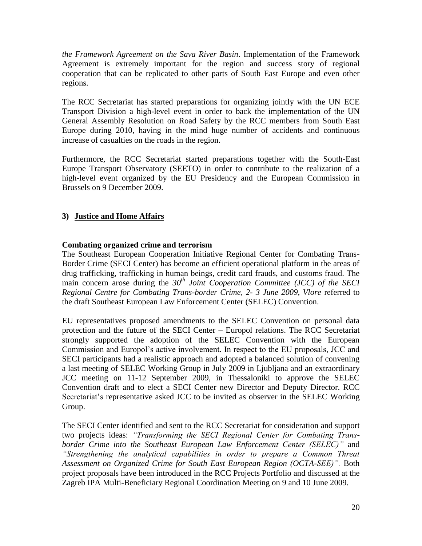*the Framework Agreement on the Sava River Basin*. Implementation of the Framework Agreement is extremely important for the region and success story of regional cooperation that can be replicated to other parts of South East Europe and even other regions.

The RCC Secretariat has started preparations for organizing jointly with the UN ECE Transport Division a high-level event in order to back the implementation of the UN General Assembly Resolution on Road Safety by the RCC members from South East Europe during 2010, having in the mind huge number of accidents and continuous increase of casualties on the roads in the region.

Furthermore, the RCC Secretariat started preparations together with the South-East Europe Transport Observatory (SEETO) in order to contribute to the realization of a high-level event organized by the EU Presidency and the European Commission in Brussels on 9 December 2009.

#### **3) Justice and Home Affairs**

#### **Combating organized crime and terrorism**

The Southeast European Cooperation Initiative Regional Center for Combating Trans-Border Crime (SECI Center) has become an efficient operational platform in the areas of drug trafficking, trafficking in human beings, credit card frauds, and customs fraud. The main concern arose during the *30th Joint Cooperation Committee (JCC) of the SECI Regional Centre for Combating Trans-border Crime, 2- 3 June 2009, Vlore* referred to the draft Southeast European Law Enforcement Center (SELEC) Convention.

EU representatives proposed amendments to the SELEC Convention on personal data protection and the future of the SECI Center – Europol relations. The RCC Secretariat strongly supported the adoption of the SELEC Convention with the European Commission and Europol"s active involvement. In respect to the EU proposals, JCC and SECI participants had a realistic approach and adopted a balanced solution of convening a last meeting of SELEC Working Group in July 2009 in Ljubljana and an extraordinary JCC meeting on 11-12 September 2009, in Thessaloniki to approve the SELEC Convention draft and to elect a SECI Center new Director and Deputy Director. RCC Secretariat"s representative asked JCC to be invited as observer in the SELEC Working Group.

The SECI Center identified and sent to the RCC Secretariat for consideration and support two projects ideas: *"Transforming the SECI Regional Center for Combating Transborder Crime into the Southeast European Law Enforcement Center (SELEC)"* and *"Strengthening the analytical capabilities in order to prepare a Common Threat Assessment on Organized Crime for South East European Region (OCTA-SEE)".* Both project proposals have been introduced in the RCC Projects Portfolio and discussed at the Zagreb IPA Multi-Beneficiary Regional Coordination Meeting on 9 and 10 June 2009.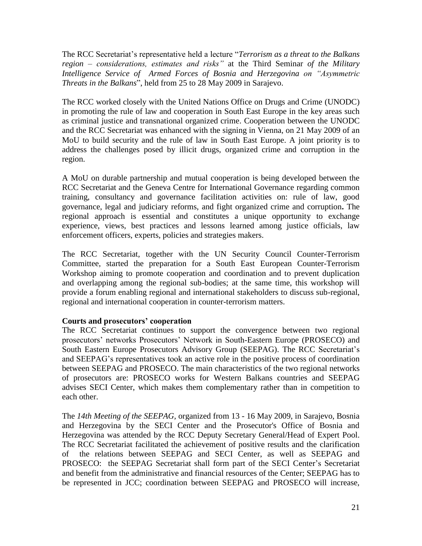The RCC Secretariat's representative held a lecture "*Terrorism as a threat to the Balkans region – considerations, estimates and risks"* at the Third Seminar *of the Military Intelligence Service of Armed Forces of Bosnia and Herzegovina on "Asymmetric Threats in the Balkans*", held from 25 to 28 May 2009 in Sarajevo.

The RCC worked closely with the United Nations Office on Drugs and Crime (UNODC) in promoting the rule of law and cooperation in South East Europe in the key areas such as criminal justice and transnational organized crime. Cooperation between the UNODC and the RCC Secretariat was enhanced with the signing in Vienna, on 21 May 2009 of an MoU to build security and the rule of law in South East Europe. A joint priority is to address the challenges posed by illicit drugs, organized crime and corruption in the region.

A MoU on durable partnership and mutual cooperation is being developed between the RCC Secretariat and the Geneva Centre for International Governance regarding common training, consultancy and governance facilitation activities on: rule of law, good governance, legal and judiciary reforms, and fight organized crime and corruption**.** The regional approach is essential and constitutes a unique opportunity to exchange experience, views, best practices and lessons learned among justice officials, law enforcement officers, experts, policies and strategies makers.

The RCC Secretariat, together with the UN Security Council Counter-Terrorism Committee, started the preparation for a South East European Counter-Terrorism Workshop aiming to promote cooperation and coordination and to prevent duplication and overlapping among the regional sub-bodies; at the same time, this workshop will provide a forum enabling regional and international stakeholders to discuss sub-regional, regional and international cooperation in counter-terrorism matters.

#### **Courts and prosecutors' cooperation**

The RCC Secretariat continues to support the convergence between two regional prosecutors" networks Prosecutors" Network in South-Eastern Europe (PROSECO) and South Eastern Europe Prosecutors Advisory Group (SEEPAG). The RCC Secretariat's and SEEPAG"s representatives took an active role in the positive process of coordination between SEEPAG and PROSECO. The main characteristics of the two regional networks of prosecutors are: PROSECO works for Western Balkans countries and SEEPAG advises SECI Center, which makes them complementary rather than in competition to each other.

The *14th Meeting of the SEEPAG,* organized from 13 - 16 May 2009, in Sarajevo, Bosnia and Herzegovina by the SECI Center and the Prosecutor's Office of Bosnia and Herzegovina was attended by the RCC Deputy Secretary General/Head of Expert Pool. The RCC Secretariat facilitated the achievement of positive results and the clarification of the relations between SEEPAG and SECI Center, as well as SEEPAG and PROSECO: the SEEPAG Secretariat shall form part of the SECI Center's Secretariat and benefit from the administrative and financial resources of the Center; SEEPAG has to be represented in JCC; coordination between SEEPAG and PROSECO will increase,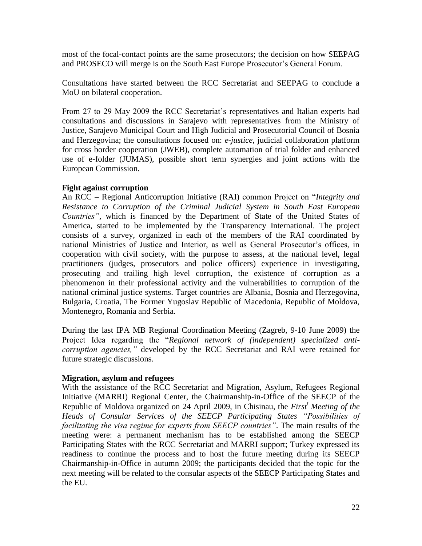most of the focal-contact points are the same prosecutors; the decision on how SEEPAG and PROSECO will merge is on the South East Europe Prosecutor's General Forum.

Consultations have started between the RCC Secretariat and SEEPAG to conclude a MoU on bilateral cooperation.

From 27 to 29 May 2009 the RCC Secretariat"s representatives and Italian experts had consultations and discussions in Sarajevo with representatives from the Ministry of Justice, Sarajevo Municipal Court and High Judicial and Prosecutorial Council of Bosnia and Herzegovina; the consultations focused on: *e-justice*, judicial collaboration platform for cross border cooperation (JWEB), complete automation of trial folder and enhanced use of e-folder (JUMAS), possible short term synergies and joint actions with the European Commission.

#### **Fight against corruption**

An RCC – Regional Anticorruption Initiative (RAI) common Project on "*Integrity and Resistance to Corruption of the Criminal Judicial System in South East European Countries"*, which is financed by the Department of State of the United States of America, started to be implemented by the Transparency International. The project consists of a survey, organized in each of the members of the RAI coordinated by national Ministries of Justice and Interior, as well as General Prosecutor's offices, in cooperation with civil society, with the purpose to assess, at the national level, legal practitioners (judges, prosecutors and police officers) experience in investigating, prosecuting and trailing high level corruption, the existence of corruption as a phenomenon in their professional activity and the vulnerabilities to corruption of the national criminal justice systems. Target countries are Albania, Bosnia and Herzegovina, Bulgaria, Croatia, The Former Yugoslav Republic of Macedonia, Republic of Moldova, Montenegro, Romania and Serbia.

During the last IPA MB Regional Coordination Meeting (Zagreb, 9-10 June 2009) the Project Idea regarding the "*Regional network of (independent) specialized anticorruption agencies,"* developed by the RCC Secretariat and RAI were retained for future strategic discussions.

#### **Migration, asylum and refugees**

With the assistance of the RCC Secretariat and Migration, Asylum, Refugees Regional Initiative (MARRI) Regional Center, the Chairmanship-in-Office of the SEECP of the Republic of Moldova organized on 24 April 2009, in Chisinau, the *First<sup>t</sup> Meeting of the Heads of Consular Services of the SEECP Participating States "Possibilities of facilitating the visa regime for experts from SEECP countries"*. The main results of the meeting were: a permanent mechanism has to be established among the SEECP Participating States with the RCC Secretariat and MARRI support; Turkey expressed its readiness to continue the process and to host the future meeting during its SEECP Chairmanship-in-Office in autumn 2009; the participants decided that the topic for the next meeting will be related to the consular aspects of the SEECP Participating States and the EU.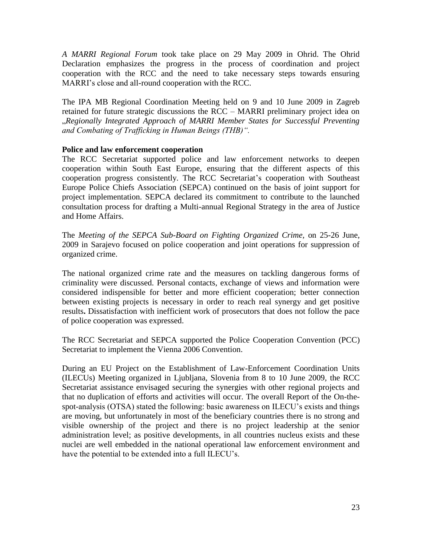*A MARRI Regional Forum* took take place on 29 May 2009 in Ohrid. The Ohrid Declaration emphasizes the progress in the process of coordination and project cooperation with the RCC and the need to take necessary steps towards ensuring MARRI"s close and all-round cooperation with the RCC.

The IPA MB Regional Coordination Meeting held on 9 and 10 June 2009 in Zagreb retained for future strategic discussions the RCC – MARRI preliminary project idea on "*Regionally Integrated Approach of MARRI Member States for Successful Preventing and Combating of Trafficking in Human Beings (THB)".*

#### **Police and law enforcement cooperation**

The RCC Secretariat supported police and law enforcement networks to deepen cooperation within South East Europe, ensuring that the different aspects of this cooperation progress consistently. The RCC Secretariat"s cooperation with Southeast Europe Police Chiefs Association (SEPCA) continued on the basis of joint support for project implementation. SEPCA declared its commitment to contribute to the launched consultation process for drafting a Multi-annual Regional Strategy in the area of Justice and Home Affairs.

The *Meeting of the SEPCA Sub-Board on Fighting Organized Crime,* on 25-26 June, 2009 in Sarajevo focused on police cooperation and joint operations for suppression of organized crime.

The national organized crime rate and the measures on tackling dangerous forms of criminality were discussed. Personal contacts, exchange of views and information were considered indispensible for better and more efficient cooperation; better connection between existing projects is necessary in order to reach real synergy and get positive results**.** Dissatisfaction with inefficient work of prosecutors that does not follow the pace of police cooperation was expressed.

The RCC Secretariat and SEPCA supported the Police Cooperation Convention (PCC) Secretariat to implement the Vienna 2006 Convention.

During an EU Project on the Establishment of Law-Enforcement Coordination Units (ILECUs) Meeting organized in Ljubljana, Slovenia from 8 to 10 June 2009*,* the RCC Secretariat assistance envisaged securing the synergies with other regional projects and that no duplication of efforts and activities will occur. The overall Report of the On-thespot-analysis (OTSA) stated the following: basic awareness on ILECU"s exists and things are moving, but unfortunately in most of the beneficiary countries there is no strong and visible ownership of the project and there is no project leadership at the senior administration level; as positive developments, in all countries nucleus exists and these nuclei are well embedded in the national operational law enforcement environment and have the potential to be extended into a full ILECU"s.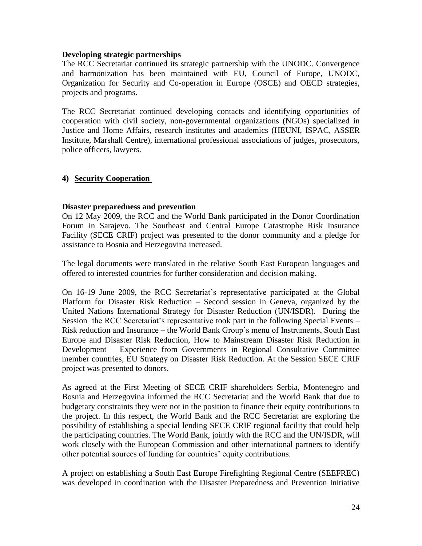#### **Developing strategic partnerships**

The RCC Secretariat continued its strategic partnership with the UNODC. Convergence and harmonization has been maintained with EU, Council of Europe, UNODC, Organization for Security and Co-operation in Europe (OSCE) and OECD strategies, projects and programs.

The RCC Secretariat continued developing contacts and identifying opportunities of cooperation with civil society, non-governmental organizations (NGOs) specialized in Justice and Home Affairs, research institutes and academics (HEUNI, ISPAC*,* ASSER Institute, Marshall Centre), international professional associations of judges, prosecutors, police officers, lawyers.

#### **4) Security Cooperation**

#### **Disaster preparedness and prevention**

On 12 May 2009, the RCC and the World Bank participated in the Donor Coordination Forum in Sarajevo. The Southeast and Central Europe Catastrophe Risk Insurance Facility (SECE CRIF) project was presented to the donor community and a pledge for assistance to Bosnia and Herzegovina increased.

The legal documents were translated in the relative South East European languages and offered to interested countries for further consideration and decision making.

On 16-19 June 2009, the RCC Secretariat"s representative participated at the Global Platform for Disaster Risk Reduction – Second session in Geneva, organized by the United Nations International Strategy for Disaster Reduction (UN/ISDR). During the Session the RCC Secretariat"s representative took part in the following Special Events – Risk reduction and Insurance – the World Bank Group"s menu of Instruments, South East Europe and Disaster Risk Reduction, How to Mainstream Disaster Risk Reduction in Development – Experience from Governments in Regional Consultative Committee member countries, EU Strategy on Disaster Risk Reduction. At the Session SECE CRIF project was presented to donors.

As agreed at the First Meeting of SECE CRIF shareholders Serbia, Montenegro and Bosnia and Herzegovina informed the RCC Secretariat and the World Bank that due to budgetary constraints they were not in the position to finance their equity contributions to the project. In this respect, the World Bank and the RCC Secretariat are exploring the possibility of establishing a special lending SECE CRIF regional facility that could help the participating countries. The World Bank, jointly with the RCC and the UN/ISDR, will work closely with the European Commission and other international partners to identify other potential sources of funding for countries" equity contributions.

A project on establishing a South East Europe Firefighting Regional Centre (SEEFREC) was developed in coordination with the Disaster Preparedness and Prevention Initiative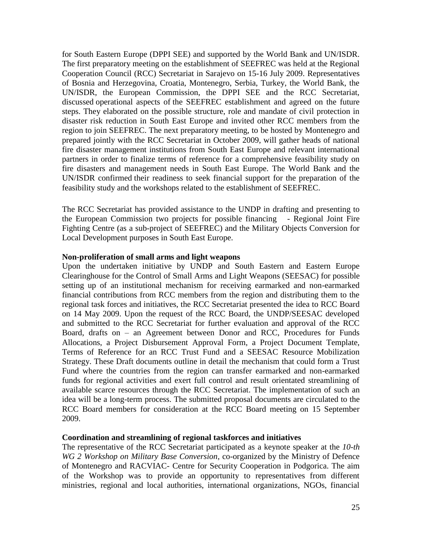for South Eastern Europe (DPPI SEE) and supported by the World Bank and UN/ISDR. The first preparatory meeting on the establishment of SEEFREC was held at the Regional Cooperation Council (RCC) Secretariat in Sarajevo on 15-16 July 2009. Representatives of Bosnia and Herzegovina, Croatia, Montenegro, Serbia, Turkey, the World Bank, the UN/ISDR, the European Commission, the DPPI SEE and the RCC Secretariat, discussed operational aspects of the SEEFREC establishment and agreed on the future steps. They elaborated on the possible structure, role and mandate of civil protection in disaster risk reduction in South East Europe and invited other RCC members from the region to join SEEFREC. The next preparatory meeting, to be hosted by Montenegro and prepared jointly with the RCC Secretariat in October 2009, will gather heads of national fire disaster management institutions from South East Europe and relevant international partners in order to finalize terms of reference for a comprehensive feasibility study on fire disasters and management needs in South East Europe. The World Bank and the UN/ISDR confirmed their readiness to seek financial support for the preparation of the feasibility study and the workshops related to the establishment of SEEFREC.

The RCC Secretariat has provided assistance to the UNDP in drafting and presenting to the European Commission two projects for possible financing - Regional Joint Fire Fighting Centre (as a sub-project of SEEFREC) and the Military Objects Conversion for Local Development purposes in South East Europe.

#### **Non-proliferation of small arms and light weapons**

Upon the undertaken initiative by UNDP and South Eastern and Eastern Europe Clearinghouse for the Control of Small Arms and Light Weapons (SEESAC) for possible setting up of an institutional mechanism for receiving earmarked and non-earmarked financial contributions from RCC members from the region and distributing them to the regional task forces and initiatives, the RCC Secretariat presented the idea to RCC Board on 14 May 2009. Upon the request of the RCC Board, the UNDP/SEESAC developed and submitted to the RCC Secretariat for further evaluation and approval of the RCC Board, drafts on – an Agreement between Donor and RCC, Procedures for Funds Allocations, a Project Disbursement Approval Form, a Project Document Template, Terms of Reference for an RCC Trust Fund and a SEESAC Resource Mobilization Strategy. These Draft documents outline in detail the mechanism that could form a Trust Fund where the countries from the region can transfer earmarked and non-earmarked funds for regional activities and exert full control and result orientated streamlining of available scarce resources through the RCC Secretariat. The implementation of such an idea will be a long-term process. The submitted proposal documents are circulated to the RCC Board members for consideration at the RCC Board meeting on 15 September 2009.

#### **Coordination and streamlining of regional taskforces and initiatives**

The representative of the RCC Secretariat participated as a keynote speaker at the *10-th WG 2 Workshop on Military Base Conversion*, co-organized by the Ministry of Defence of Montenegro and RACVIAC- Centre for Security Cooperation in Podgorica. The aim of the Workshop was to provide an opportunity to representatives from different ministries, regional and local authorities, international organizations, NGOs, financial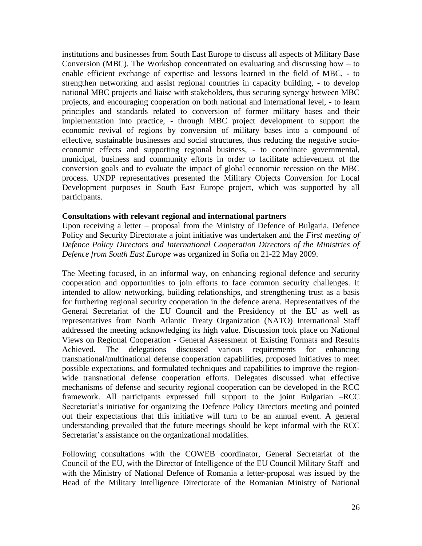institutions and businesses from South East Europe to discuss all aspects of Military Base Conversion (MBC). The Workshop concentrated on evaluating and discussing how  $-$  to enable efficient exchange of expertise and lessons learned in the field of MBC, - to strengthen networking and assist regional countries in capacity building, - to develop national MBC projects and liaise with stakeholders, thus securing synergy between MBC projects, and encouraging cooperation on both national and international level, - to learn principles and standards related to conversion of former military bases and their implementation into practice, - through MBC project development to support the economic revival of regions by conversion of military bases into a compound of effective, sustainable businesses and social structures, thus reducing the negative socioeconomic effects and supporting regional business, - to coordinate governmental, municipal, business and community efforts in order to facilitate achievement of the conversion goals and to evaluate the impact of global economic recession on the MBC process. UNDP representatives presented the Military Objects Conversion for Local Development purposes in South East Europe project, which was supported by all participants.

#### **Consultations with relevant regional and international partners**

Upon receiving a letter – proposal from the Ministry of Defence of Bulgaria, Defence Policy and Security Directorate a joint initiative was undertaken and the *First meeting of Defence Policy Directors and International Cooperation Directors of the Ministries of Defence from South East Europe* was organized in Sofia on 21-22 May 2009.

The Meeting focused, in an informal way, on enhancing regional defence and security cooperation and opportunities to join efforts to face common security challenges. It intended to allow networking, building relationships, and strengthening trust as a basis for furthering regional security cooperation in the defence arena. Representatives of the General Secretariat of the EU Council and the Presidency of the EU as well as representatives from North Atlantic Treaty Organization (NATO) International Staff addressed the meeting acknowledging its high value. Discussion took place on National Views on Regional Cooperation - General Assessment of Existing Formats and Results Achieved. The delegations discussed various requirements for enhancing transnational/multinational defense cooperation capabilities, proposed initiatives to meet possible expectations, and formulated techniques and capabilities to improve the regionwide transnational defense cooperation efforts. Delegates discussed what effective mechanisms of defense and security regional cooperation can be developed in the RCC framework. All participants expressed full support to the joint Bulgarian –RCC Secretariat's initiative for organizing the Defence Policy Directors meeting and pointed out their expectations that this initiative will turn to be an annual event. A general understanding prevailed that the future meetings should be kept informal with the RCC Secretariat's assistance on the organizational modalities.

Following consultations with the COWEB coordinator, General Secretariat of the Council of the EU, with the Director of Intelligence of the EU Council Military Staff and with the Ministry of National Defence of Romania a letter-proposal was issued by the Head of the Military Intelligence Directorate of the Romanian Ministry of National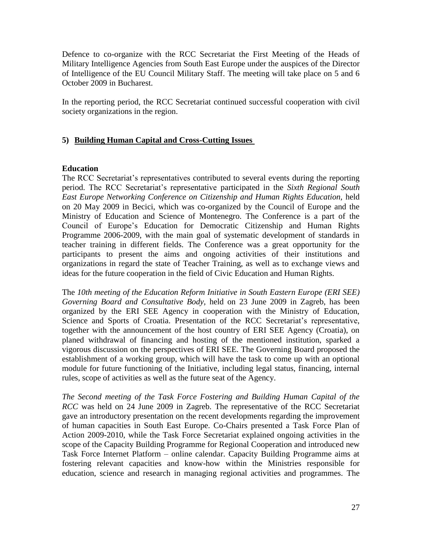Defence to co-organize with the RCC Secretariat the First Meeting of the Heads of Military Intelligence Agencies from South East Europe under the auspices of the Director of Intelligence of the EU Council Military Staff. The meeting will take place on 5 and 6 October 2009 in Bucharest.

In the reporting period, the RCC Secretariat continued successful cooperation with civil society organizations in the region.

#### **5) Building Human Capital and Cross-Cutting Issues**

#### **Education**

The RCC Secretariat"s representatives contributed to several events during the reporting period. The RCC Secretariat"s representative participated in the *Sixth Regional South East Europe Networking Conference on Citizenship and Human Rights Education,* held on 20 May 2009 in Becici, which was co-organized by the Council of Europe and the Ministry of Education and Science of Montenegro. The Conference is a part of the Council of Europe"s Education for Democratic Citizenship and Human Rights Programme 2006-2009, with the main goal of systematic development of standards in teacher training in different fields. The Conference was a great opportunity for the participants to present the aims and ongoing activities of their institutions and organizations in regard the state of Teacher Training, as well as to exchange views and ideas for the future cooperation in the field of Civic Education and Human Rights.

The *10th meeting of the Education Reform Initiative in South Eastern Europe (ERI SEE) Governing Board and Consultative Body,* held on 23 June 2009 in Zagreb, has been organized by the ERI SEE Agency in cooperation with the Ministry of Education, Science and Sports of Croatia. Presentation of the RCC Secretariat's representative, together with the announcement of the host country of ERI SEE Agency (Croatia), on planed withdrawal of financing and hosting of the mentioned institution, sparked a vigorous discussion on the perspectives of ERI SEE. The Governing Board proposed the establishment of a working group, which will have the task to come up with an optional module for future functioning of the Initiative, including legal status, financing, internal rules, scope of activities as well as the future seat of the Agency.

*The Second meeting of the Task Force Fostering and Building Human Capital of the RCC* was held on 24 June 2009 in Zagreb. The representative of the RCC Secretariat gave an introductory presentation on the recent developments regarding the improvement of human capacities in South East Europe. Co-Chairs presented a Task Force Plan of Action 2009-2010, while the Task Force Secretariat explained ongoing activities in the scope of the Capacity Building Programme for Regional Cooperation and introduced new Task Force Internet Platform – online calendar. Capacity Building Programme aims at fostering relevant capacities and know-how within the Ministries responsible for education, science and research in managing regional activities and programmes. The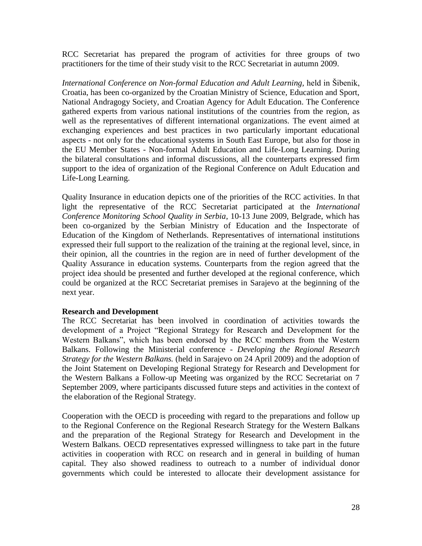RCC Secretariat has prepared the program of activities for three groups of two practitioners for the time of their study visit to the RCC Secretariat in autumn 2009.

*International Conference on Non-formal Education and Adult Learning,* held in Šibenik, Croatia, has been co-organized by the Croatian Ministry of Science, Education and Sport, National Andragogy Society, and Croatian Agency for Adult Education. The Conference gathered experts from various national institutions of the countries from the region, as well as the representatives of different international organizations. The event aimed at exchanging experiences and best practices in two particularly important educational aspects - not only for the educational systems in South East Europe, but also for those in the EU Member States - Non-formal Adult Education and Life-Long Learning. During the bilateral consultations and informal discussions, all the counterparts expressed firm support to the idea of organization of the Regional Conference on Adult Education and Life-Long Learning.

Quality Insurance in education depicts one of the priorities of the RCC activities. In that light the representative of the RCC Secretariat participated at the *International Conference Monitoring School Quality in Serbia*, 10-13 June 2009, Belgrade, which has been co-organized by the Serbian Ministry of Education and the Inspectorate of Education of the Kingdom of Netherlands. Representatives of international institutions expressed their full support to the realization of the training at the regional level, since, in their opinion, all the countries in the region are in need of further development of the Quality Assurance in education systems. Counterparts from the region agreed that the project idea should be presented and further developed at the regional conference, which could be organized at the RCC Secretariat premises in Sarajevo at the beginning of the next year.

#### **Research and Development**

The RCC Secretariat has been involved in coordination of activities towards the development of a Project "Regional Strategy for Research and Development for the Western Balkans", which has been endorsed by the RCC members from the Western Balkans. Following the Ministerial conference - *Developing the Regional Research Strategy for the Western Balkans.* (held in Sarajevo on 24 April 2009) and the adoption of the Joint Statement on Developing Regional Strategy for Research and Development for the Western Balkans a Follow-up Meeting was organized by the RCC Secretariat on 7 September 2009, where participants discussed future steps and activities in the context of the elaboration of the Regional Strategy.

Cooperation with the OECD is proceeding with regard to the preparations and follow up to the Regional Conference on the Regional Research Strategy for the Western Balkans and the preparation of the Regional Strategy for Research and Development in the Western Balkans. OECD representatives expressed willingness to take part in the future activities in cooperation with RCC on research and in general in building of human capital. They also showed readiness to outreach to a number of individual donor governments which could be interested to allocate their development assistance for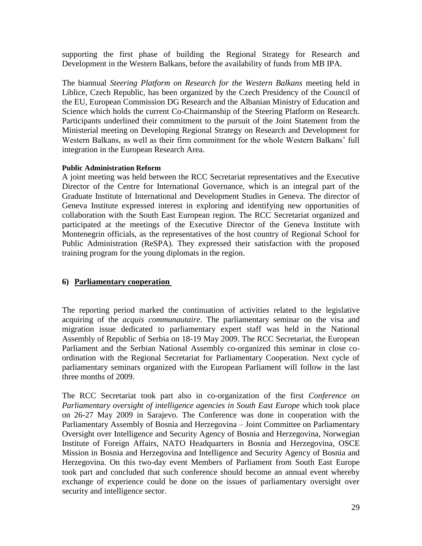supporting the first phase of building the Regional Strategy for Research and Development in the Western Balkans, before the availability of funds from MB IPA.

The biannual *Steering Platform on Research for the Western Balkans* meeting held in Liblice, Czech Republic, has been organized by the Czech Presidency of the Council of the EU, European Commission DG Research and the Albanian Ministry of Education and Science which holds the current Co-Chairmanship of the Steering Platform on Research. Participants underlined their commitment to the pursuit of the Joint Statement from the Ministerial meeting on Developing Regional Strategy on Research and Development for Western Balkans, as well as their firm commitment for the whole Western Balkans' full integration in the European Research Area.

#### **Public Administration Reform**

A joint meeting was held between the RCC Secretariat representatives and the Executive Director of the Centre for International Governance, which is an integral part of the Graduate Institute of International and Development Studies in Geneva. The director of Geneva Institute expressed interest in exploring and identifying new opportunities of collaboration with the South East European region. The RCC Secretariat organized and participated at the meetings of the Executive Director of the Geneva Institute with Montenegrin officials, as the representatives of the host country of Regional School for Public Administration (ReSPA). They expressed their satisfaction with the proposed training program for the young diplomats in the region.

#### **6) Parliamentary cooperation**

The reporting period marked the continuation of activities related to the legislative acquiring of the *acquis communautaire*. The parliamentary seminar on the visa and migration issue dedicated to parliamentary expert staff was held in the National Assembly of Republic of Serbia on 18-19 May 2009. The RCC Secretariat, the European Parliament and the Serbian National Assembly co-organized this seminar in close coordination with the Regional Secretariat for Parliamentary Cooperation. Next cycle of parliamentary seminars organized with the European Parliament will follow in the last three months of 2009.

The RCC Secretariat took part also in co-organization of the first *Conference on Parliamentary oversight of intelligence agencies in South East Europe* which took place on 26-27 May 2009 in Sarajevo. The Conference was done in cooperation with the Parliamentary Assembly of Bosnia and Herzegovina – Joint Committee on Parliamentary Oversight over Intelligence and Security Agency of Bosnia and Herzegovina, Norwegian Institute of Foreign Affairs, NATO Headquarters in Bosnia and Herzegovina, OSCE Mission in Bosnia and Herzegovina and Intelligence and Security Agency of Bosnia and Herzegovina. On this two-day event Members of Parliament from South East Europe took part and concluded that such conference should become an annual event whereby exchange of experience could be done on the issues of parliamentary oversight over security and intelligence sector.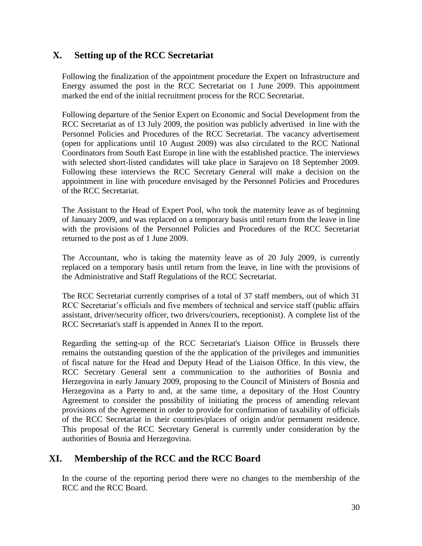# **X. Setting up of the RCC Secretariat**

Following the finalization of the appointment procedure the Expert on Infrastructure and Energy assumed the post in the RCC Secretariat on 1 June 2009. This appointment marked the end of the initial recruitment process for the RCC Secretariat.

Following departure of the Senior Expert on Economic and Social Development from the RCC Secretariat as of 13 July 2009, the position was publicly advertised in line with the Personnel Policies and Procedures of the RCC Secretariat. The vacancy advertisement (open for applications until 10 August 2009) was also circulated to the RCC National Coordinators from South East Europe in line with the established practice. The interviews with selected short-listed candidates will take place in Sarajevo on 18 September 2009. Following these interviews the RCC Secretary General will make a decision on the appointment in line with procedure envisaged by the Personnel Policies and Procedures of the RCC Secretariat.

The Assistant to the Head of Expert Pool, who took the maternity leave as of beginning of January 2009, and was replaced on a temporary basis until return from the leave in line with the provisions of the Personnel Policies and Procedures of the RCC Secretariat returned to the post as of 1 June 2009.

The Accountant, who is taking the maternity leave as of 20 July 2009, is currently replaced on a temporary basis until return from the leave, in line with the provisions of the Administrative and Staff Regulations of the RCC Secretariat.

The RCC Secretariat currently comprises of a total of 37 staff members, out of which 31 RCC Secretariat's officials and five members of technical and service staff (public affairs assistant, driver/security officer, two drivers/couriers, receptionist). A complete list of the RCC Secretariat's staff is appended in Annex II to the report.

Regarding the setting-up of the RCC Secretariat's Liaison Office in Brussels there remains the outstanding question of the the application of the privileges and immunities of fiscal nature for the Head and Deputy Head of the Liaison Office. In this view, the RCC Secretary General sent a communication to the authorities of Bosnia and Herzegovina in early January 2009, proposing to the Council of Ministers of Bosnia and Herzegovina as a Party to and, at the same time, a depositary of the Host Country Agreement to consider the possibility of initiating the process of amending relevant provisions of the Agreement in order to provide for confirmation of taxability of officials of the RCC Secretariat in their countries/places of origin and/or permanent residence. This proposal of the RCC Secretary General is currently under consideration by the authorities of Bosnia and Herzegovina.

# **XI. Membership of the RCC and the RCC Board**

In the course of the reporting period there were no changes to the membership of the RCC and the RCC Board.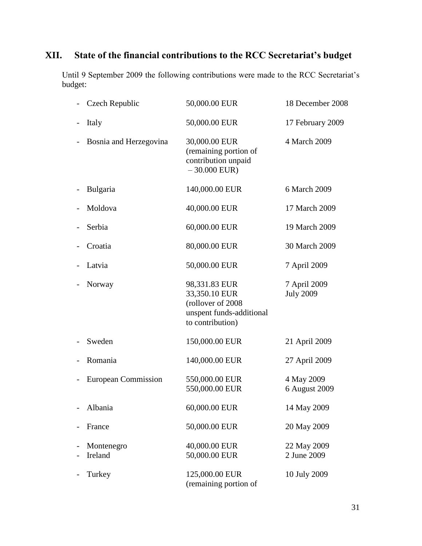# **XII. State of the financial contributions to the RCC Secretariat's budget**

Until 9 September 2009 the following contributions were made to the RCC Secretariat's budget:

| Czech Republic         | 50,000.00 EUR                                                                                       | 18 December 2008                 |
|------------------------|-----------------------------------------------------------------------------------------------------|----------------------------------|
| Italy                  | 50,000.00 EUR                                                                                       | 17 February 2009                 |
| Bosnia and Herzegovina | 30,000.00 EUR<br>(remaining portion of<br>contribution unpaid<br>$-30.000$ EUR)                     | 4 March 2009                     |
| Bulgaria               | 140,000.00 EUR                                                                                      | 6 March 2009                     |
| Moldova                | 40,000.00 EUR                                                                                       | 17 March 2009                    |
| Serbia                 | 60,000.00 EUR                                                                                       | 19 March 2009                    |
| Croatia                | 80,000.00 EUR                                                                                       | 30 March 2009                    |
| Latvia                 | 50,000.00 EUR                                                                                       | 7 April 2009                     |
| Norway                 | 98,331.83 EUR<br>33,350.10 EUR<br>(rollover of 2008<br>unspent funds-additional<br>to contribution) | 7 April 2009<br><b>July 2009</b> |
| Sweden                 | 150,000.00 EUR                                                                                      | 21 April 2009                    |
| Romania                | 140,000.00 EUR                                                                                      | 27 April 2009                    |
| European Commission    | 550,000.00 EUR<br>550,000.00 EUR                                                                    | 4 May 2009<br>6 August 2009      |
| Albania                | 60,000.00 EUR                                                                                       | 14 May 2009                      |
| France                 | 50,000.00 EUR                                                                                       | 20 May 2009                      |
| Montenegro<br>Ireland  | 40,000.00 EUR<br>50,000.00 EUR                                                                      | 22 May 2009<br>2 June 2009       |
| Turkey                 | 125,000.00 EUR<br>(remaining portion of                                                             | 10 July 2009                     |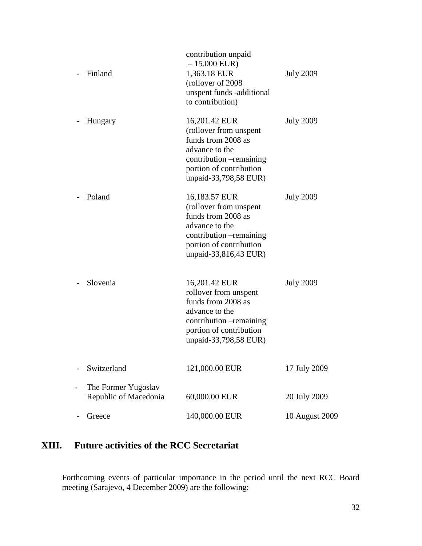| Finland                                      | contribution unpaid<br>$-15.000$ EUR)<br>1,363.18 EUR<br>(rollover of 2008)<br>unspent funds -additional<br>to contribution)                                    | <b>July 2009</b> |
|----------------------------------------------|-----------------------------------------------------------------------------------------------------------------------------------------------------------------|------------------|
| Hungary                                      | 16,201.42 EUR<br>(rollover from unspent<br>funds from 2008 as<br>advance to the<br>contribution -remaining<br>portion of contribution<br>unpaid-33,798,58 EUR)  | <b>July 2009</b> |
| Poland                                       | 16,183.57 EUR<br>(rollover from unspent<br>funds from 2008 as<br>advance to the<br>contribution – remaining<br>portion of contribution<br>unpaid-33,816,43 EUR) | <b>July 2009</b> |
| Slovenia                                     | 16,201.42 EUR<br>rollover from unspent<br>funds from 2008 as<br>advance to the<br>contribution -remaining<br>portion of contribution<br>unpaid-33,798,58 EUR)   | <b>July 2009</b> |
| Switzerland                                  | 121,000.00 EUR                                                                                                                                                  | 17 July 2009     |
| The Former Yugoslav<br>Republic of Macedonia | 60,000.00 EUR                                                                                                                                                   | 20 July 2009     |
| Greece                                       | 140,000.00 EUR                                                                                                                                                  | 10 August 2009   |

# **XIII. Future activities of the RCC Secretariat**

Forthcoming events of particular importance in the period until the next RCC Board meeting (Sarajevo, 4 December 2009) are the following: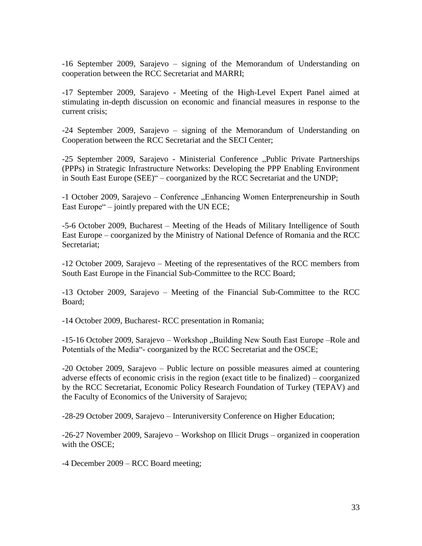-16 September 2009, Sarajevo – signing of the Memorandum of Understanding on cooperation between the RCC Secretariat and MARRI;

-17 September 2009, Sarajevo - Meeting of the High-Level Expert Panel aimed at stimulating in-depth discussion on economic and financial measures in response to the current crisis;

-24 September 2009, Sarajevo – signing of the Memorandum of Understanding on Cooperation between the RCC Secretariat and the SECI Center;

-25 September 2009, Sarajevo - Ministerial Conference "Public Private Partnerships (PPPs) in Strategic Infrastructure Networks: Developing the PPP Enabling Environment in South East Europe (SEE)" – coorganized by the RCC Secretariat and the UNDP;

-1 October 2009, Sarajevo – Conference "Enhancing Women Enterpreneurship in South East Europe" – jointly prepared with the UN ECE;

-5-6 October 2009, Bucharest – Meeting of the Heads of Military Intelligence of South East Europe – coorganized by the Ministry of National Defence of Romania and the RCC Secretariat;

-12 October 2009, Sarajevo – Meeting of the representatives of the RCC members from South East Europe in the Financial Sub-Committee to the RCC Board;

-13 October 2009, Sarajevo – Meeting of the Financial Sub-Committee to the RCC Board;

-14 October 2009, Bucharest- RCC presentation in Romania;

-15-16 October 2009, Sarajevo – Workshop "Building New South East Europe – Role and Potentials of the Media"- coorganized by the RCC Secretariat and the OSCE;

-20 October 2009, Sarajevo – Public lecture on possible measures aimed at countering adverse effects of economic crisis in the region (exact title to be finalized) – coorganized by the RCC Secretariat, Economic Policy Research Foundation of Turkey (TEPAV) and the Faculty of Economics of the University of Sarajevo;

-28-29 October 2009, Sarajevo – Interuniversity Conference on Higher Education;

-26-27 November 2009, Sarajevo – Workshop on Illicit Drugs – organized in cooperation with the OSCE;

-4 December 2009 – RCC Board meeting;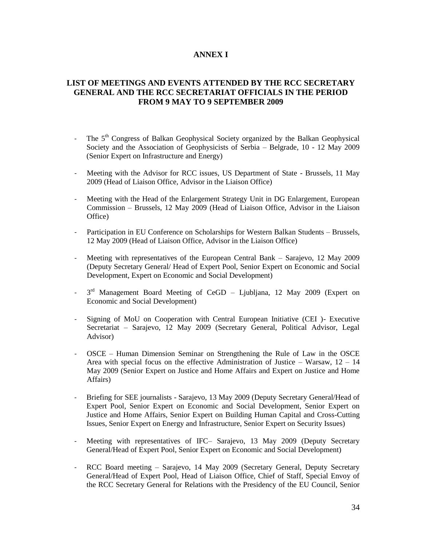#### **ANNEX I**

#### **LIST OF MEETINGS AND EVENTS ATTENDED BY THE RCC SECRETARY GENERAL AND THE RCC SECRETARIAT OFFICIALS IN THE PERIOD FROM 9 MAY TO 9 SEPTEMBER 2009**

- The 5<sup>th</sup> Congress of Balkan Geophysical Society organized by the Balkan Geophysical Society and the Association of Geophysicists of Serbia – Belgrade, 10 - 12 May 2009 (Senior Expert on Infrastructure and Energy)
- Meeting with the Advisor for RCC issues, US Department of State Brussels, 11 May 2009 (Head of Liaison Office, Advisor in the Liaison Office)
- Meeting with the Head of the Enlargement Strategy Unit in DG Enlargement, European Commission – Brussels, 12 May 2009 (Head of Liaison Office, Advisor in the Liaison Office)
- Participation in EU Conference on Scholarships for Western Balkan Students Brussels, 12 May 2009 (Head of Liaison Office, Advisor in the Liaison Office)
- Meeting with representatives of the European Central Bank Sarajevo, 12 May 2009 (Deputy Secretary General/ Head of Expert Pool, Senior Expert on Economic and Social Development, Expert on Economic and Social Development)
- $-$  3<sup>rd</sup> Management Board Meeting of CeGD Ljubljana, 12 May 2009 (Expert on Economic and Social Development)
- Signing of MoU on Cooperation with Central European Initiative (CEI) Executive Secretariat – Sarajevo, 12 May 2009 (Secretary General, Political Advisor, Legal Advisor)
- OSCE Human Dimension Seminar on Strengthening the Rule of Law in the OSCE Area with special focus on the effective Administration of Justice – Warsaw,  $12 - 14$ May 2009 (Senior Expert on Justice and Home Affairs and Expert on Justice and Home Affairs)
- Briefing for SEE journalists Sarajevo, 13 May 2009 (Deputy Secretary General/Head of Expert Pool, Senior Expert on Economic and Social Development, Senior Expert on Justice and Home Affairs, Senior Expert on Building Human Capital and Cross-Cutting Issues, Senior Expert on Energy and Infrastructure, Senior Expert on Security Issues)
- Meeting with representatives of IFC– Sarajevo, 13 May 2009 (Deputy Secretary General/Head of Expert Pool, Senior Expert on Economic and Social Development)
- RCC Board meeting Sarajevo, 14 May 2009 (Secretary General, Deputy Secretary General/Head of Expert Pool, Head of Liaison Office, Chief of Staff, Special Envoy of the RCC Secretary General for Relations with the Presidency of the EU Council, Senior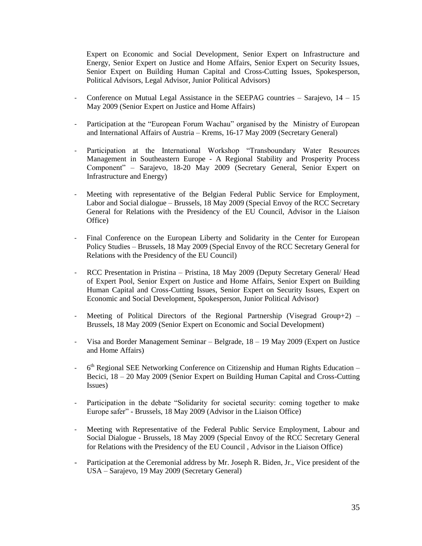Expert on Economic and Social Development, Senior Expert on Infrastructure and Energy, Senior Expert on Justice and Home Affairs, Senior Expert on Security Issues, Senior Expert on Building Human Capital and Cross-Cutting Issues, Spokesperson, Political Advisors, Legal Advisor, Junior Political Advisors)

- Conference on Mutual Legal Assistance in the SEEPAG countries Sarajevo, 14 15 May 2009 (Senior Expert on Justice and Home Affairs)
- Participation at the "European Forum Wachau" organised by the Ministry of European and International Affairs of Austria – Krems, 16-17 May 2009 (Secretary General)
- Participation at the International Workshop "Transboundary Water Resources Management in Southeastern Europe - A Regional Stability and Prosperity Process Component" – Sarajevo, 18-20 May 2009 (Secretary General, Senior Expert on Infrastructure and Energy)
- Meeting with representative of the Belgian Federal Public Service for Employment, Labor and Social dialogue – Brussels, 18 May 2009 (Special Envoy of the RCC Secretary General for Relations with the Presidency of the EU Council, Advisor in the Liaison Office)
- Final Conference on the European Liberty and Solidarity in the Center for European Policy Studies – Brussels, 18 May 2009 (Special Envoy of the RCC Secretary General for Relations with the Presidency of the EU Council)
- RCC Presentation in Pristina Pristina, 18 May 2009 (Deputy Secretary General/ Head of Expert Pool, Senior Expert on Justice and Home Affairs, Senior Expert on Building Human Capital and Cross-Cutting Issues, Senior Expert on Security Issues, Expert on Economic and Social Development, Spokesperson, Junior Political Advisor)
- Meeting of Political Directors of the Regional Partnership (Visegrad Group+2) Brussels, 18 May 2009 (Senior Expert on Economic and Social Development)
- Visa and Border Management Seminar Belgrade,  $18 19$  May 2009 (Expert on Justice and Home Affairs)
- 6<sup>th</sup> Regional SEE Networking Conference on Citizenship and Human Rights Education -Becici, 18 – 20 May 2009 (Senior Expert on Building Human Capital and Cross-Cutting Issues)
- Participation in the debate "Solidarity for societal security: coming together to make Europe safer" - Brussels, 18 May 2009 (Advisor in the Liaison Office)
- Meeting with Representative of the Federal Public Service Employment, Labour and Social Dialogue - Brussels, 18 May 2009 (Special Envoy of the RCC Secretary General for Relations with the Presidency of the EU Council , Advisor in the Liaison Office)
- Participation at the Ceremonial address by Mr. Joseph R. Biden, Jr., Vice president of the USA – Sarajevo, 19 May 2009 (Secretary General)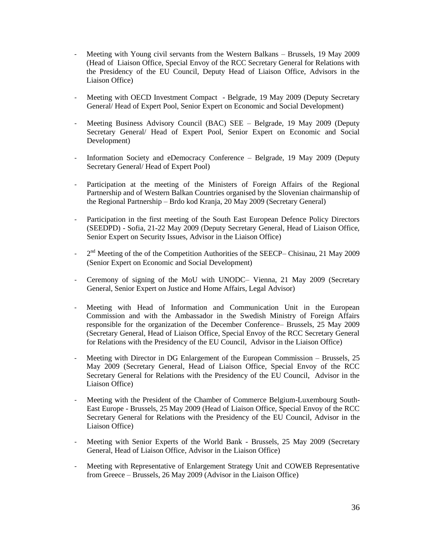- Meeting with Young civil servants from the Western Balkans Brussels, 19 May 2009 (Head of Liaison Office, Special Envoy of the RCC Secretary General for Relations with the Presidency of the EU Council, Deputy Head of Liaison Office, Advisors in the Liaison Office)
- Meeting with OECD Investment Compact Belgrade, 19 May 2009 (Deputy Secretary General/ Head of Expert Pool, Senior Expert on Economic and Social Development)
- Meeting Business Advisory Council (BAC) SEE Belgrade, 19 May 2009 (Deputy Secretary General/ Head of Expert Pool, Senior Expert on Economic and Social Development)
- Information Society and eDemocracy Conference Belgrade, 19 May 2009 (Deputy Secretary General/ Head of Expert Pool)
- Participation at the meeting of the Ministers of Foreign Affairs of the Regional Partnership and of Western Balkan Countries organised by the Slovenian chairmanship of the Regional Partnership – Brdo kod Kranja, 20 May 2009 (Secretary General)
- Participation in the first meeting of the South East European Defence Policy Directors (SEEDPD) - Sofia, 21-22 May 2009 (Deputy Secretary General, Head of Liaison Office, Senior Expert on Security Issues, Advisor in the Liaison Office)
- 2<sup>nd</sup> Meeting of the of the Competition Authorities of the SEECP– Chisinau, 21 May 2009 (Senior Expert on Economic and Social Development)
- Ceremony of signing of the MoU with UNODC– Vienna, 21 May 2009 (Secretary General, Senior Expert on Justice and Home Affairs, Legal Advisor)
- Meeting with Head of Information and Communication Unit in the European Commission and with the Ambassador in the Swedish Ministry of Foreign Affairs responsible for the organization of the December Conference– Brussels, 25 May 2009 (Secretary General, Head of Liaison Office, Special Envoy of the RCC Secretary General for Relations with the Presidency of the EU Council, Advisor in the Liaison Office)
- Meeting with Director in DG Enlargement of the European Commission Brussels, 25 May 2009 (Secretary General, Head of Liaison Office, Special Envoy of the RCC Secretary General for Relations with the Presidency of the EU Council, Advisor in the Liaison Office)
- Meeting with the President of the Chamber of Commerce Belgium-Luxembourg South-East Europe - Brussels, 25 May 2009 (Head of Liaison Office, Special Envoy of the RCC Secretary General for Relations with the Presidency of the EU Council, Advisor in the Liaison Office)
- Meeting with Senior Experts of the World Bank Brussels, 25 May 2009 (Secretary General, Head of Liaison Office, Advisor in the Liaison Office)
- Meeting with Representative of Enlargement Strategy Unit and COWEB Representative from Greece – Brussels, 26 May 2009 (Advisor in the Liaison Office)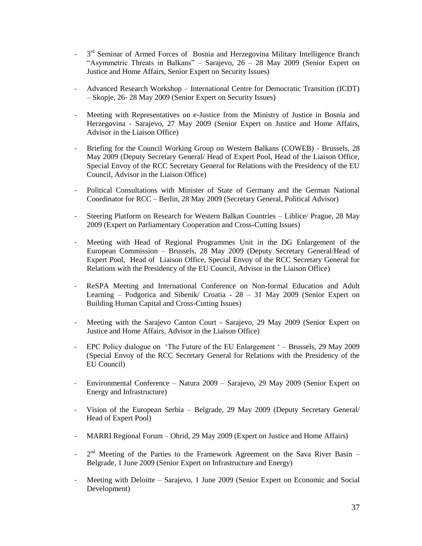- 3  $3<sup>rd</sup>$  Seminar of Armed Forces of Bosnia and Herzegovina Military Intelligence Branch "Asymmetric Threats in Balkans" – Sarajevo,  $26 - 28$  May 2009 (Senior Expert on Justice and Home Affairs, Senior Expert on Security Issues)
- Advanced Research Workshop International Centre for Democratic Transition (ICDT) – Skopje, 26- 28 May 2009 (Senior Expert on Security Issues)
- Meeting with Representatives on e-Justice from the Ministry of Justice in Bosnia and Herzegovina - Sarajevo, 27 May 2009 (Senior Expert on Justice and Home Affairs, Advisor in the Liaison Office)
- Briefing for the Council Working Group on Western Balkans (COWEB) Brussels, 28 May 2009 (Deputy Secretary General/ Head of Expert Pool, Head of the Liaison Office, Special Envoy of the RCC Secretary General for Relations with the Presidency of the EU Council, Advisor in the Liaison Office)
- Political Consultations with Minister of State of Germany and the German National Coordinator for RCC – Berlin, 28 May 2009 (Secretary General, Political Advisor)
- Steering Platform on Research for Western Balkan Countries Liblice/ Prague, 28 May 2009 (Expert on Parliamentary Cooperation and Cross-Cutting Issues)
- Meeting with Head of Regional Programmes Unit in the DG Enlargement of the European Commission – Brussels, 28 May 2009 (Deputy Secretary General/Head of Expert Pool, Head of Liaison Office, Special Envoy of the RCC Secretary General for Relations with the Presidency of the EU Council, Advisor in the Liaison Office)
- ReSPA Meeting and International Conference on Non-formal Education and Adult Learning – Podgorica and Sibenik/ Croatia - 28 – 31 May 2009 (Senior Expert on Building Human Capital and Cross-Cutting Issues)
- Meeting with the Sarajevo Canton Court Sarajevo, 29 May 2009 (Senior Expert on Justice and Home Affairs, Advisor in the Liaison Office)
- EPC Policy dialogue on 'The Future of the EU Enlargement' Brussels, 29 May 2009 (Special Envoy of the RCC Secretary General for Relations with the Presidency of the EU Council)
- Environmental Conference Natura 2009 Sarajevo, 29 May 2009 (Senior Expert on Energy and Infrastructure)
- Vision of the European Serbia Belgrade, 29 May 2009 (Deputy Secretary General/ Head of Expert Pool)
- MARRI Regional Forum Ohrid, 29 May 2009 (Expert on Justice and Home Affairs)
- 2  $2<sup>nd</sup>$  Meeting of the Parties to the Framework Agreement on the Sava River Basin – Belgrade, 1 June 2009 (Senior Expert on Infrastructure and Energy)
- Meeting with Deloitte Sarajevo, 1 June 2009 (Senior Expert on Economic and Social Development)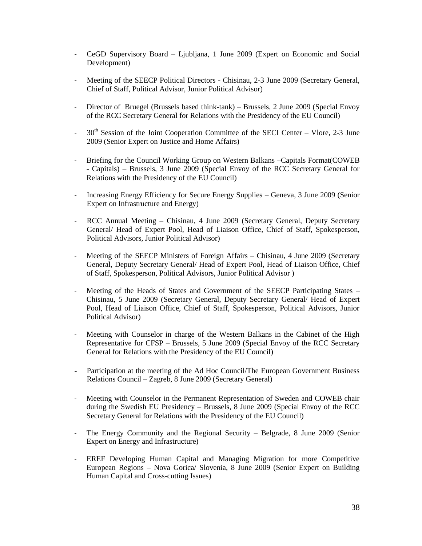- CeGD Supervisory Board Ljubljana, 1 June 2009 (Expert on Economic and Social Development)
- Meeting of the SEECP Political Directors Chisinau, 2-3 June 2009 (Secretary General, Chief of Staff, Political Advisor, Junior Political Advisor)
- Director of Bruegel (Brussels based think-tank) Brussels, 2 June 2009 (Special Envoy of the RCC Secretary General for Relations with the Presidency of the EU Council)
- $-30<sup>th</sup>$  Session of the Joint Cooperation Committee of the SECI Center Vlore, 2-3 June 2009 (Senior Expert on Justice and Home Affairs)
- Briefing for the Council Working Group on Western Balkans –Capitals Format(COWEB - Capitals) – Brussels, 3 June 2009 (Special Envoy of the RCC Secretary General for Relations with the Presidency of the EU Council)
- Increasing Energy Efficiency for Secure Energy Supplies Geneva, 3 June 2009 (Senior Expert on Infrastructure and Energy)
- RCC Annual Meeting Chisinau, 4 June 2009 (Secretary General, Deputy Secretary General/ Head of Expert Pool, Head of Liaison Office, Chief of Staff, Spokesperson, Political Advisors, Junior Political Advisor)
- Meeting of the SEECP Ministers of Foreign Affairs Chisinau, 4 June 2009 (Secretary General, Deputy Secretary General/ Head of Expert Pool, Head of Liaison Office, Chief of Staff, Spokesperson, Political Advisors, Junior Political Advisor )
- Meeting of the Heads of States and Government of the SEECP Participating States Chisinau, 5 June 2009 (Secretary General, Deputy Secretary General/ Head of Expert Pool, Head of Liaison Office, Chief of Staff, Spokesperson, Political Advisors, Junior Political Advisor)
- Meeting with Counselor in charge of the Western Balkans in the Cabinet of the High Representative for CFSP – Brussels, 5 June 2009 (Special Envoy of the RCC Secretary General for Relations with the Presidency of the EU Council)
- Participation at the meeting of the Ad Hoc Council/The European Government Business Relations Council – Zagreb, 8 June 2009 (Secretary General)
- Meeting with Counselor in the Permanent Representation of Sweden and COWEB chair during the Swedish EU Presidency – Brussels, 8 June 2009 (Special Envoy of the RCC Secretary General for Relations with the Presidency of the EU Council)
- The Energy Community and the Regional Security Belgrade, 8 June 2009 (Senior Expert on Energy and Infrastructure)
- EREF Developing Human Capital and Managing Migration for more Competitive European Regions – Nova Gorica/ Slovenia, 8 June 2009 (Senior Expert on Building Human Capital and Cross-cutting Issues)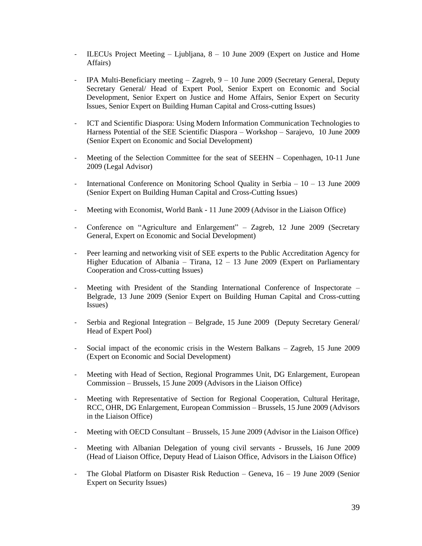- ILECUs Project Meeting Ljubljana, 8 10 June 2009 (Expert on Justice and Home Affairs)
- IPA Multi-Beneficiary meeting Zagreb, 9 10 June 2009 (Secretary General, Deputy Secretary General/ Head of Expert Pool, Senior Expert on Economic and Social Development, Senior Expert on Justice and Home Affairs, Senior Expert on Security Issues, Senior Expert on Building Human Capital and Cross-cutting Issues)
- ICT and Scientific Diaspora: Using Modern Information Communication Technologies to Harness Potential of the SEE Scientific Diaspora – Workshop – Sarajevo, 10 June 2009 (Senior Expert on Economic and Social Development)
- Meeting of the Selection Committee for the seat of SEEHN Copenhagen, 10-11 June 2009 (Legal Advisor)
- International Conference on Monitoring School Quality in Serbia 10 13 June 2009 (Senior Expert on Building Human Capital and Cross-Cutting Issues)
- Meeting with Economist, World Bank 11 June 2009 (Advisor in the Liaison Office)
- Conference on "Agriculture and Enlargement" Zagreb, 12 June 2009 (Secretary General, Expert on Economic and Social Development)
- Peer learning and networking visit of SEE experts to the Public Accreditation Agency for Higher Education of Albania – Tirana,  $12 - 13$  June 2009 (Expert on Parliamentary Cooperation and Cross-cutting Issues)
- Meeting with President of the Standing International Conference of Inspectorate Belgrade, 13 June 2009 (Senior Expert on Building Human Capital and Cross-cutting Issues)
- Serbia and Regional Integration Belgrade, 15 June 2009 (Deputy Secretary General/ Head of Expert Pool)
- Social impact of the economic crisis in the Western Balkans Zagreb, 15 June 2009 (Expert on Economic and Social Development)
- Meeting with Head of Section, Regional Programmes Unit, DG Enlargement, European Commission – Brussels, 15 June 2009 (Advisors in the Liaison Office)
- Meeting with Representative of Section for Regional Cooperation, Cultural Heritage, RCC, OHR, DG Enlargement, European Commission – Brussels, 15 June 2009 (Advisors in the Liaison Office)
- Meeting with OECD Consultant Brussels, 15 June 2009 (Advisor in the Liaison Office)
- Meeting with Albanian Delegation of young civil servants Brussels, 16 June 2009 (Head of Liaison Office, Deputy Head of Liaison Office, Advisors in the Liaison Office)
- The Global Platform on Disaster Risk Reduction Geneva, 16 19 June 2009 (Senior Expert on Security Issues)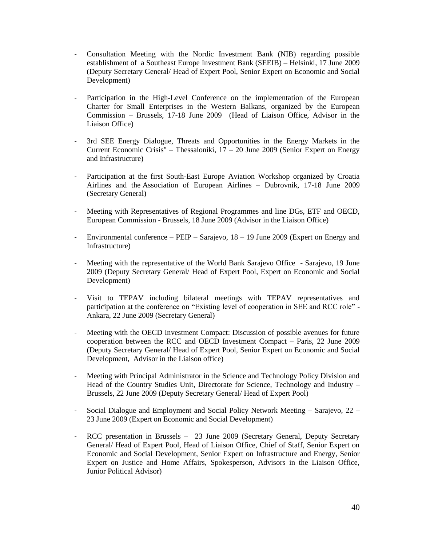- Consultation Meeting with the Nordic Investment Bank (NIB) regarding possible establishment of a Southeast Europe Investment Bank (SEEIB) – Helsinki, 17 June 2009 (Deputy Secretary General/ Head of Expert Pool, Senior Expert on Economic and Social Development)
- Participation in the High-Level Conference on the implementation of the European Charter for Small Enterprises in the Western Balkans, organized by the European Commission – Brussels, 17-18 June 2009 (Head of Liaison Office, Advisor in the Liaison Office)
- 3rd SEE Energy Dialogue, Threats and Opportunities in the Energy Markets in the Current Economic Crisis" – Thessaloniki,  $17 - 20$  June 2009 (Senior Expert on Energy and Infrastructure)
- Participation at the first South-East Europe Aviation Workshop organized by Croatia Airlines and the Association of European Airlines – Dubrovnik, 17-18 June 2009 (Secretary General)
- Meeting with Representatives of Regional Programmes and line DGs, ETF and OECD, European Commission - Brussels, 18 June 2009 (Advisor in the Liaison Office)
- Environmental conference PEIP Sarajevo, 18 19 June 2009 (Expert on Energy and Infrastructure)
- Meeting with the representative of the World Bank Sarajevo Office Sarajevo, 19 June 2009 (Deputy Secretary General/ Head of Expert Pool, Expert on Economic and Social Development)
- Visit to TEPAV including bilateral meetings with TEPAV representatives and participation at the conference on "Existing level of cooperation in SEE and RCC role" - Ankara, 22 June 2009 (Secretary General)
- Meeting with the OECD Investment Compact: Discussion of possible avenues for future cooperation between the RCC and OECD Investment Compact – Paris, 22 June 2009 (Deputy Secretary General/ Head of Expert Pool, Senior Expert on Economic and Social Development, Advisor in the Liaison office)
- Meeting with Principal Administrator in the Science and Technology Policy Division and Head of the Country Studies Unit, Directorate for Science, Technology and Industry – Brussels, 22 June 2009 (Deputy Secretary General/ Head of Expert Pool)
- Social Dialogue and Employment and Social Policy Network Meeting Sarajevo, 22 23 June 2009 (Expert on Economic and Social Development)
- RCC presentation in Brussels 23 June 2009 (Secretary General, Deputy Secretary General/ Head of Expert Pool, Head of Liaison Office, Chief of Staff, Senior Expert on Economic and Social Development, Senior Expert on Infrastructure and Energy, Senior Expert on Justice and Home Affairs, Spokesperson, Advisors in the Liaison Office, Junior Political Advisor)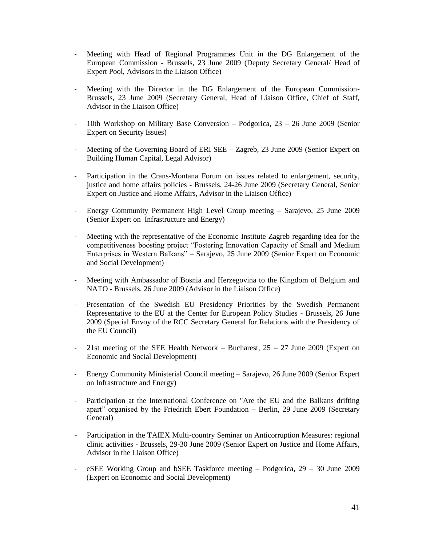- Meeting with Head of Regional Programmes Unit in the DG Enlargement of the European Commission - Brussels, 23 June 2009 (Deputy Secretary General/ Head of Expert Pool, Advisors in the Liaison Office)
- Meeting with the Director in the DG Enlargement of the European Commission-Brussels, 23 June 2009 (Secretary General, Head of Liaison Office, Chief of Staff, Advisor in the Liaison Office)
- 10th Workshop on Military Base Conversion Podgorica,  $23 26$  June 2009 (Senior Expert on Security Issues)
- Meeting of the Governing Board of ERI SEE Zagreb, 23 June 2009 (Senior Expert on Building Human Capital, Legal Advisor)
- Participation in the Crans-Montana Forum on issues related to enlargement, security, justice and home affairs policies - Brussels, 24-26 June 2009 (Secretary General, Senior Expert on Justice and Home Affairs, Advisor in the Liaison Office)
- Energy Community Permanent High Level Group meeting Sarajevo, 25 June 2009 (Senior Expert on Infrastructure and Energy)
- Meeting with the representative of the Economic Institute Zagreb regarding idea for the competitiveness boosting project "Fostering Innovation Capacity of Small and Medium Enterprises in Western Balkans" – Sarajevo, 25 June 2009 (Senior Expert on Economic and Social Development)
- Meeting with Ambassador of Bosnia and Herzegovina to the Kingdom of Belgium and NATO - Brussels, 26 June 2009 (Advisor in the Liaison Office)
- Presentation of the Swedish EU Presidency Priorities by the Swedish Permanent Representative to the EU at the Center for European Policy Studies - Brussels, 26 June 2009 (Special Envoy of the RCC Secretary General for Relations with the Presidency of the EU Council)
- 21st meeting of the SEE Health Network Bucharest, 25 27 June 2009 (Expert on Economic and Social Development)
- Energy Community Ministerial Council meeting Sarajevo, 26 June 2009 (Senior Expert on Infrastructure and Energy)
- Participation at the International Conference on "Are the EU and the Balkans drifting apart" organised by the Friedrich Ebert Foundation – Berlin, 29 June 2009 (Secretary General)
- Participation in the TAIEX Multi-country Seminar on Anticorruption Measures: regional clinic activities - Brussels, 29-30 June 2009 (Senior Expert on Justice and Home Affairs, Advisor in the Liaison Office)
- eSEE Working Group and bSEE Taskforce meeting Podgorica, 29 30 June 2009 (Expert on Economic and Social Development)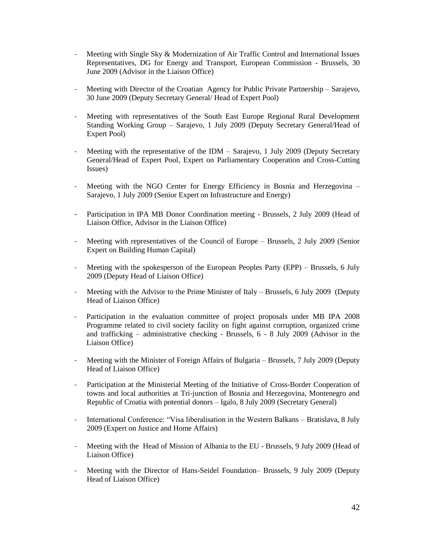- Meeting with Single Sky & Modernization of Air Traffic Control and International Issues Representatives, DG for Energy and Transport, European Commission - Brussels, 30 June 2009 (Advisor in the Liaison Office)
- Meeting with Director of the Croatian Agency for Public Private Partnership Sarajevo, 30 June 2009 (Deputy Secretary General/ Head of Expert Pool)
- Meeting with representatives of the South East Europe Regional Rural Development Standing Working Group – Sarajevo, 1 July 2009 (Deputy Secretary General/Head of Expert Pool)
- Meeting with the representative of the IDM Sarajevo, 1 July 2009 (Deputy Secretary General/Head of Expert Pool, Expert on Parliamentary Cooperation and Cross-Cutting Issues)
- Meeting with the NGO Center for Energy Efficiency in Bosnia and Herzegovina Sarajevo, 1 July 2009 (Senior Expert on Infrastructure and Energy)
- Participation in IPA MB Donor Coordination meeting Brussels, 2 July 2009 (Head of Liaison Office, Advisor in the Liaison Office)
- Meeting with representatives of the Council of Europe Brussels, 2 July 2009 (Senior Expert on Building Human Capital)
- Meeting with the spokesperson of the European Peoples Party (EPP) Brussels, 6 July 2009 (Deputy Head of Liaison Office)
- Meeting with the Advisor to the Prime Minister of Italy Brussels, 6 July 2009 (Deputy Head of Liaison Office)
- Participation in the evaluation committee of project proposals under MB IPA 2008 Programme related to civil society facility on fight against corruption, organized crime and trafficking – administrative checking - Brussels, 6 - 8 July 2009 (Advisor in the Liaison Office)
- Meeting with the Minister of Foreign Affairs of Bulgaria Brussels, 7 July 2009 (Deputy Head of Liaison Office)
- Participation at the Ministerial Meeting of the Initiative of Cross-Border Cooperation of towns and local authorities at Tri-junction of Bosnia and Herzegovina, Montenegro and Republic of Croatia with potential donors – Igalo, 8 July 2009 (Secretary General)
- International Conference: "Visa liberalisation in the Western Balkans Bratislava, 8 July 2009 (Expert on Justice and Home Affairs)
- Meeting with the Head of Mission of Albania to the EU Brussels, 9 July 2009 (Head of Liaison Office)
- Meeting with the Director of Hans-Seidel Foundation– Brussels, 9 July 2009 (Deputy Head of Liaison Office)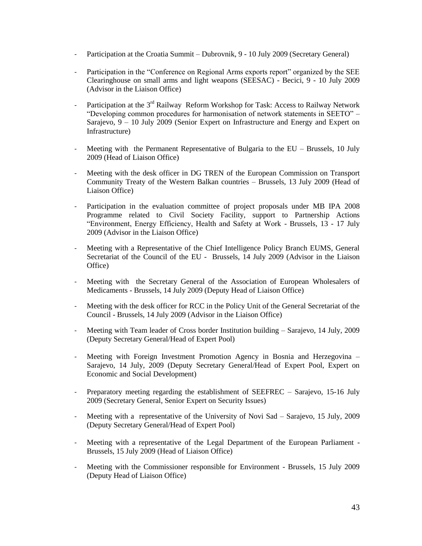- Participation at the Croatia Summit Dubrovnik, 9 10 July 2009 (Secretary General)
- Participation in the "Conference on Regional Arms exports report" organized by the SEE Clearinghouse on small arms and light weapons (SEESAC) - Becici, 9 - 10 July 2009 (Advisor in the Liaison Office)
- Participation at the  $3<sup>rd</sup>$  Railway Reform Workshop for Task: Access to Railway Network "Developing common procedures for harmonisation of network statements in SEETO" – Sarajevo, 9 – 10 July 2009 (Senior Expert on Infrastructure and Energy and Expert on Infrastructure)
- Meeting with the Permanent Representative of Bulgaria to the EU Brussels, 10 July 2009 (Head of Liaison Office)
- Meeting with the desk officer in DG TREN of the European Commission on Transport Community Treaty of the Western Balkan countries – Brussels, 13 July 2009 (Head of Liaison Office)
- Participation in the evaluation committee of project proposals under MB IPA 2008 Programme related to Civil Society Facility, support to Partnership Actions "Environment, Energy Efficiency, Health and Safety at Work - Brussels, 13 - 17 July 2009 (Advisor in the Liaison Office)
- Meeting with a Representative of the Chief Intelligence Policy Branch EUMS, General Secretariat of the Council of the EU - Brussels, 14 July 2009 (Advisor in the Liaison Office)
- Meeting with the Secretary General of the Association of European Wholesalers of Medicaments - Brussels, 14 July 2009 (Deputy Head of Liaison Office)
- Meeting with the desk officer for RCC in the Policy Unit of the General Secretariat of the Council - Brussels, 14 July 2009 (Advisor in the Liaison Office)
- Meeting with Team leader of Cross border Institution building Sarajevo, 14 July, 2009 (Deputy Secretary General/Head of Expert Pool)
- Meeting with Foreign Investment Promotion Agency in Bosnia and Herzegovina Sarajevo, 14 July, 2009 (Deputy Secretary General/Head of Expert Pool, Expert on Economic and Social Development)
- Preparatory meeting regarding the establishment of SEEFREC Sarajevo, 15-16 July 2009 (Secretary General, Senior Expert on Security Issues)
- Meeting with a representative of the University of Novi Sad Sarajevo, 15 July, 2009 (Deputy Secretary General/Head of Expert Pool)
- Meeting with a representative of the Legal Department of the European Parliament Brussels, 15 July 2009 (Head of Liaison Office)
- Meeting with the Commissioner responsible for Environment Brussels, 15 July 2009 (Deputy Head of Liaison Office)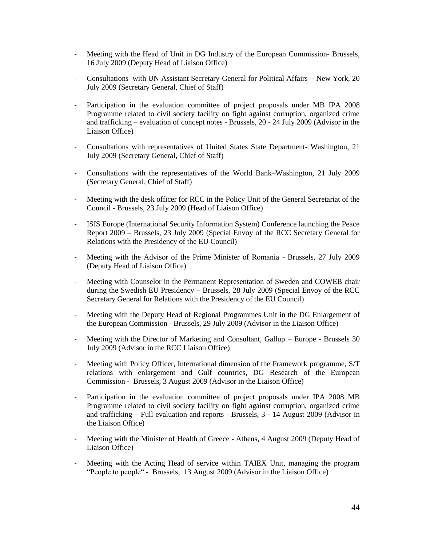- Meeting with the Head of Unit in DG Industry of the European Commission- Brussels, 16 July 2009 (Deputy Head of Liaison Office)
- Consultations with UN Assistant Secretary-General for Political Affairs New York, 20 July 2009 (Secretary General, Chief of Staff)
- Participation in the evaluation committee of project proposals under MB IPA 2008 Programme related to civil society facility on fight against corruption, organized crime and trafficking – evaluation of concept notes - Brussels, 20 - 24 July 2009 (Advisor in the Liaison Office)
- Consultations with representatives of United States State Department- Washington, 21 July 2009 (Secretary General, Chief of Staff)
- Consultations with the representatives of the World Bank–Washington, 21 July 2009 (Secretary General, Chief of Staff)
- Meeting with the desk officer for RCC in the Policy Unit of the General Secretariat of the Council - Brussels, 23 July 2009 (Head of Liaison Office)
- ISIS Europe (International Security Information System) Conference launching the Peace Report 2009 – Brussels, 23 July 2009 (Special Envoy of the RCC Secretary General for Relations with the Presidency of the EU Council)
- Meeting with the Advisor of the Prime Minister of Romania Brussels, 27 July 2009 (Deputy Head of Liaison Office)
- Meeting with Counselor in the Permanent Representation of Sweden and COWEB chair during the Swedish EU Presidency – Brussels, 28 July 2009 (Special Envoy of the RCC Secretary General for Relations with the Presidency of the EU Council)
- Meeting with the Deputy Head of Regional Programmes Unit in the DG Enlargement of the European Commission - Brussels, 29 July 2009 (Advisor in the Liaison Office)
- Meeting with the Director of Marketing and Consultant, Gallup Europe Brussels 30 July 2009 (Advisor in the RCC Liaison Office)
- Meeting with Policy Officer, International dimension of the Framework programme, S/T relations with enlargement and Gulf countries, DG Research of the European Commission - Brussels, 3 August 2009 (Advisor in the Liaison Office)
- Participation in the evaluation committee of project proposals under IPA 2008 MB Programme related to civil society facility on fight against corruption, organized crime and trafficking – Full evaluation and reports - Brussels, 3 - 14 August 2009 (Advisor in the Liaison Office)
- Meeting with the Minister of Health of Greece Athens, 4 August 2009 (Deputy Head of Liaison Office)
- Meeting with the Acting Head of service within TAIEX Unit, managing the program "People to people" - Brussels, 13 August 2009 (Advisor in the Liaison Office)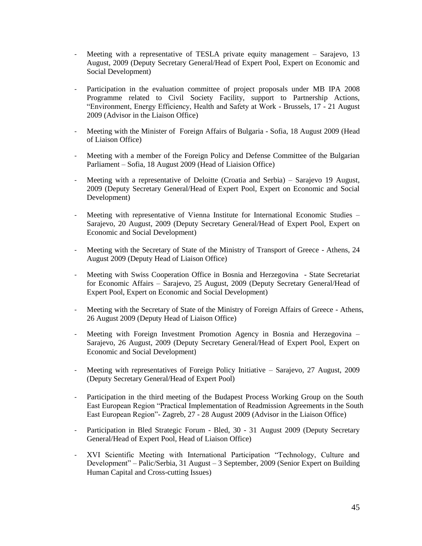- Meeting with a representative of TESLA private equity management Sarajevo, 13 August, 2009 (Deputy Secretary General/Head of Expert Pool, Expert on Economic and Social Development)
- Participation in the evaluation committee of project proposals under MB IPA 2008 Programme related to Civil Society Facility, support to Partnership Actions, "Environment, Energy Efficiency, Health and Safety at Work - Brussels, 17 - 21 August 2009 (Advisor in the Liaison Office)
- Meeting with the Minister of Foreign Affairs of Bulgaria Sofia, 18 August 2009 (Head of Liaison Office)
- Meeting with a member of the Foreign Policy and Defense Committee of the Bulgarian Parliament – Sofia, 18 August 2009 (Head of Liaision Office)
- Meeting with a representative of Deloitte (Croatia and Serbia) Sarajevo 19 August, 2009 (Deputy Secretary General/Head of Expert Pool, Expert on Economic and Social Development)
- Meeting with representative of Vienna Institute for International Economic Studies Sarajevo, 20 August, 2009 (Deputy Secretary General/Head of Expert Pool, Expert on Economic and Social Development)
- Meeting with the Secretary of State of the Ministry of Transport of Greece Athens, 24 August 2009 (Deputy Head of Liaison Office)
- Meeting with Swiss Cooperation Office in Bosnia and Herzegovina State Secretariat for Economic Affairs – Sarajevo, 25 August, 2009 (Deputy Secretary General/Head of Expert Pool, Expert on Economic and Social Development)
- Meeting with the Secretary of State of the Ministry of Foreign Affairs of Greece Athens, 26 August 2009 (Deputy Head of Liaison Office)
- Meeting with Foreign Investment Promotion Agency in Bosnia and Herzegovina Sarajevo, 26 August, 2009 (Deputy Secretary General/Head of Expert Pool, Expert on Economic and Social Development)
- Meeting with representatives of Foreign Policy Initiative Sarajevo, 27 August, 2009 (Deputy Secretary General/Head of Expert Pool)
- Participation in the third meeting of the Budapest Process Working Group on the South East European Region "Practical Implementation of Readmission Agreements in the South East European Region"- Zagreb, 27 - 28 August 2009 (Advisor in the Liaison Office)
- Participation in Bled Strategic Forum Bled, 30 31 August 2009 (Deputy Secretary General/Head of Expert Pool, Head of Liaison Office)
- XVI Scientific Meeting with International Participation "Technology, Culture and Development" – Palic/Serbia, 31 August – 3 September, 2009 (Senior Expert on Building Human Capital and Cross-cutting Issues)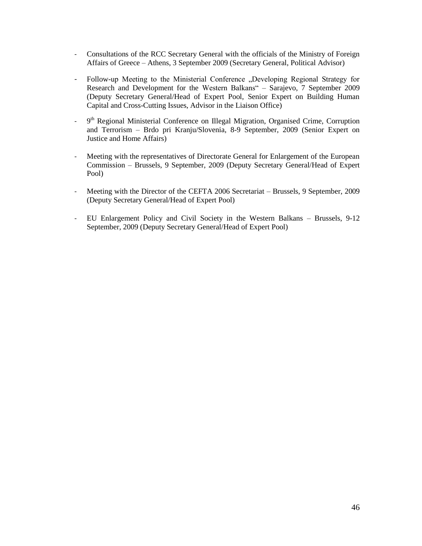- Consultations of the RCC Secretary General with the officials of the Ministry of Foreign Affairs of Greece – Athens, 3 September 2009 (Secretary General, Political Advisor)
- Follow-up Meeting to the Ministerial Conference "Developing Regional Strategy for Research and Development for the Western Balkans" – Sarajevo, 7 September 2009 (Deputy Secretary General/Head of Expert Pool, Senior Expert on Building Human Capital and Cross-Cutting Issues, Advisor in the Liaison Office)
- 9<sup>th</sup> Regional Ministerial Conference on Illegal Migration, Organised Crime, Corruption and Terrorism – Brdo pri Kranju/Slovenia, 8-9 September, 2009 (Senior Expert on Justice and Home Affairs)
- Meeting with the representatives of Directorate General for Enlargement of the European Commission – Brussels, 9 September, 2009 (Deputy Secretary General/Head of Expert Pool)
- Meeting with the Director of the CEFTA 2006 Secretariat Brussels, 9 September, 2009 (Deputy Secretary General/Head of Expert Pool)
- EU Enlargement Policy and Civil Society in the Western Balkans Brussels, 9-12 September, 2009 (Deputy Secretary General/Head of Expert Pool)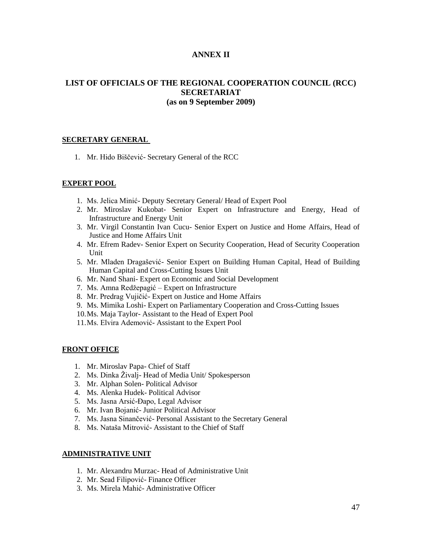#### **ANNEX II**

#### **LIST OF OFFICIALS OF THE REGIONAL COOPERATION COUNCIL (RCC) SECRETARIAT (as on 9 September 2009)**

#### **SECRETARY GENERAL**

1. Mr. Hido Biščević- Secretary General of the RCC

#### **EXPERT POOL**

- 1. Ms. Jelica Minić- Deputy Secretary General/ Head of Expert Pool
- 2. Mr. Miroslav Kukobat- Senior Expert on Infrastructure and Energy, Head of Infrastructure and Energy Unit
- 3. Mr. Virgil Constantin Ivan Cucu- Senior Expert on Justice and Home Affairs, Head of Justice and Home Affairs Unit
- 4. Mr. Efrem Radev- Senior Expert on Security Cooperation, Head of Security Cooperation **Unit**
- 5. Mr. Mladen Dragašević- Senior Expert on Building Human Capital, Head of Building Human Capital and Cross-Cutting Issues Unit
- 6. Mr. Nand Shani- Expert on Economic and Social Development
- 7. Ms. Amna Redžepagić Expert on Infrastructure
- 8. Mr. Predrag Vujičić- Expert on Justice and Home Affairs
- 9. Ms. Mimika Loshi- Expert on Parliamentary Cooperation and Cross-Cutting Issues
- 10.Ms. Maja Taylor- Assistant to the Head of Expert Pool
- 11.Ms. Elvira Ademović- Assistant to the Expert Pool

#### **FRONT OFFICE**

- 1. Mr. Miroslav Papa- Chief of Staff
- 2. Ms. Dinka Živalj- Head of Media Unit/ Spokesperson
- 3. Mr. Alphan Solen- Political Advisor
- 4. Ms. Alenka Hudek- Political Advisor
- 5. Ms. Jasna Arsić-Đapo, Legal Advisor
- 6. Mr. Ivan Bojanić- Junior Political Advisor
- 7. Ms. Jasna Sinančević- Personal Assistant to the Secretary General
- 8. Ms. Nataša Mitrović- Assistant to the Chief of Staff

#### **ADMINISTRATIVE UNIT**

- 1. Mr. Alexandru Murzac- Head of Administrative Unit
- 2. Mr. Sead Filipović- Finance Officer
- 3. Ms. Mirela Mahić- Administrative Officer